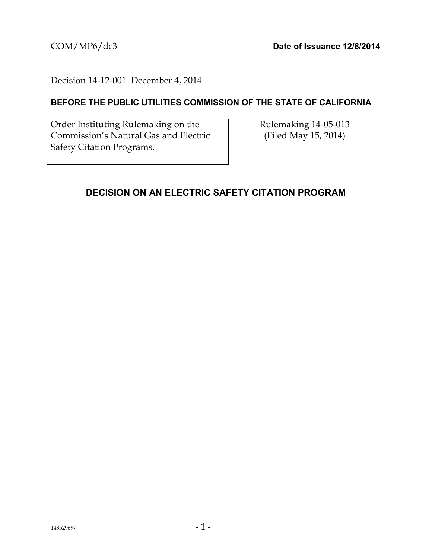### Decision 14-12-001 December 4, 2014

## **BEFORE THE PUBLIC UTILITIES COMMISSION OF THE STATE OF CALIFORNIA**

Order Instituting Rulemaking on the Commission's Natural Gas and Electric Safety Citation Programs.

Rulemaking 14-05-013 (Filed May 15, 2014)

## <span id="page-0-0"></span>**DECISION ON AN ELECTRIC SAFETY CITATION PROGRAM**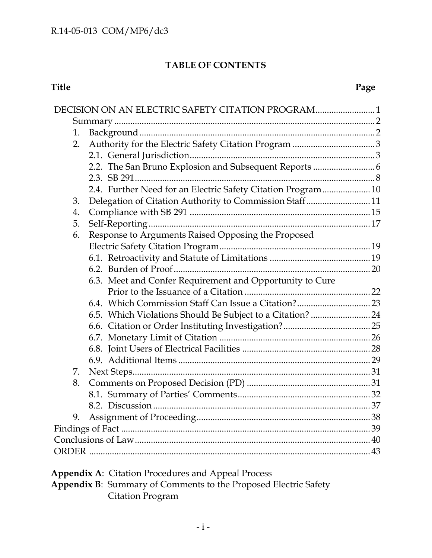# **TABLE OF CONTENTS**

### **Title Page**

|    | DECISION ON AN ELECTRIC SAFETY CITATION PROGRAM1             |  |  |
|----|--------------------------------------------------------------|--|--|
|    |                                                              |  |  |
| 1. |                                                              |  |  |
| 2. |                                                              |  |  |
|    |                                                              |  |  |
|    |                                                              |  |  |
|    |                                                              |  |  |
|    | 2.4. Further Need for an Electric Safety Citation Program 10 |  |  |
| 3. | Delegation of Citation Authority to Commission Staff11       |  |  |
| 4. |                                                              |  |  |
| 5. |                                                              |  |  |
| 6. | Response to Arguments Raised Opposing the Proposed           |  |  |
|    |                                                              |  |  |
|    |                                                              |  |  |
|    |                                                              |  |  |
|    | 6.3. Meet and Confer Requirement and Opportunity to Cure     |  |  |
|    |                                                              |  |  |
|    |                                                              |  |  |
|    | 6.5. Which Violations Should Be Subject to a Citation?  24   |  |  |
|    |                                                              |  |  |
|    |                                                              |  |  |
|    |                                                              |  |  |
|    |                                                              |  |  |
| 7. |                                                              |  |  |
| 8. |                                                              |  |  |
|    |                                                              |  |  |
|    |                                                              |  |  |
| 9. |                                                              |  |  |
|    |                                                              |  |  |
|    |                                                              |  |  |
|    |                                                              |  |  |

| <b>Appendix A: Citation Procedures and Appeal Process</b>              |
|------------------------------------------------------------------------|
| <b>Appendix B:</b> Summary of Comments to the Proposed Electric Safety |
| Citation Program                                                       |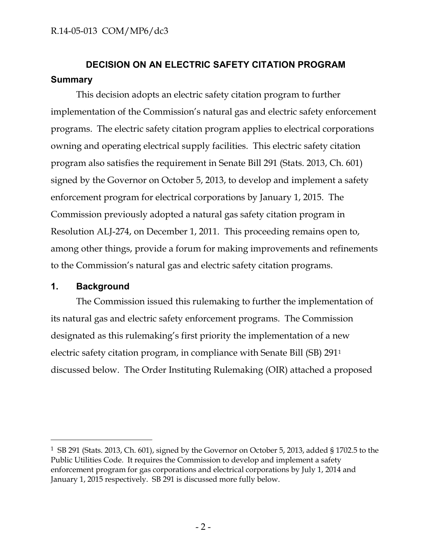# <span id="page-2-0"></span>**DECISION ON AN ELECTRIC SAFETY CITATION PROGRAM Summary**

This decision adopts an electric safety citation program to further implementation of the Commission's natural gas and electric safety enforcement programs. The electric safety citation program applies to electrical corporations owning and operating electrical supply facilities. This electric safety citation program also satisfies the requirement in Senate Bill 291 (Stats. 2013, Ch. 601) signed by the Governor on October 5, 2013, to develop and implement a safety enforcement program for electrical corporations by January 1, 2015. The Commission previously adopted a natural gas safety citation program in Resolution ALJ-274, on December 1, 2011. This proceeding remains open to, among other things, provide a forum for making improvements and refinements to the Commission's natural gas and electric safety citation programs.

#### <span id="page-2-1"></span>**1. Background**

 $\overline{a}$ 

The Commission issued this rulemaking to further the implementation of its natural gas and electric safety enforcement programs. The Commission designated as this rulemaking's first priority the implementation of a new electric safety citation program, in compliance with Senate Bill (SB) 291<sup>1</sup> discussed below. The Order Instituting Rulemaking (OIR) attached a proposed

<sup>1</sup> SB 291 (Stats. 2013, Ch. 601), signed by the Governor on October 5, 2013, added § 1702.5 to the Public Utilities Code. It requires the Commission to develop and implement a safety enforcement program for gas corporations and electrical corporations by July 1, 2014 and January 1, 2015 respectively. SB 291 is discussed more fully below.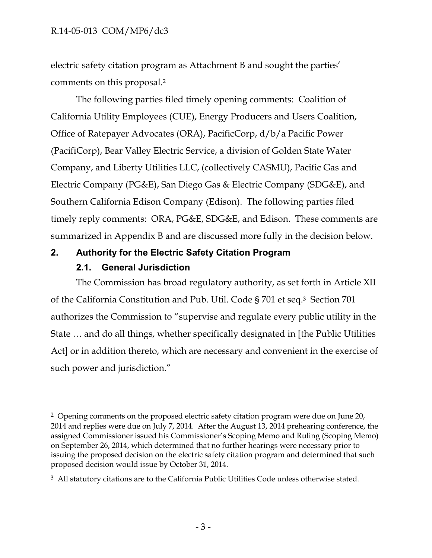electric safety citation program as Attachment B and sought the parties' comments on this proposal.<sup>2</sup>

The following parties filed timely opening comments: Coalition of California Utility Employees (CUE), Energy Producers and Users Coalition, Office of Ratepayer Advocates (ORA), PacificCorp, d/b/a Pacific Power (PacifiCorp), Bear Valley Electric Service, a division of Golden State Water Company, and Liberty Utilities LLC, (collectively CASMU), Pacific Gas and Electric Company (PG&E), San Diego Gas & Electric Company (SDG&E), and Southern California Edison Company (Edison). The following parties filed timely reply comments: ORA, PG&E, SDG&E, and Edison. These comments are summarized in Appendix B and are discussed more fully in the decision below.

### <span id="page-3-1"></span><span id="page-3-0"></span>**2. Authority for the Electric Safety Citation Program**

### **2.1. General Jurisdiction**

 $\overline{a}$ 

The Commission has broad regulatory authority, as set forth in Article XII of the California Constitution and Pub. Util. Code § 701 et seq.3 Section 701 authorizes the Commission to "supervise and regulate every public utility in the State … and do all things, whether specifically designated in [the Public Utilities Act] or in addition thereto, which are necessary and convenient in the exercise of such power and jurisdiction."

<sup>&</sup>lt;sup>2</sup> Opening comments on the proposed electric safety citation program were due on June 20, 2014 and replies were due on July 7, 2014. After the August 13, 2014 prehearing conference, the assigned Commissioner issued his Commissioner's Scoping Memo and Ruling (Scoping Memo) on September 26, 2014, which determined that no further hearings were necessary prior to issuing the proposed decision on the electric safety citation program and determined that such proposed decision would issue by October 31, 2014.

<sup>&</sup>lt;sup>3</sup> All statutory citations are to the California Public Utilities Code unless otherwise stated.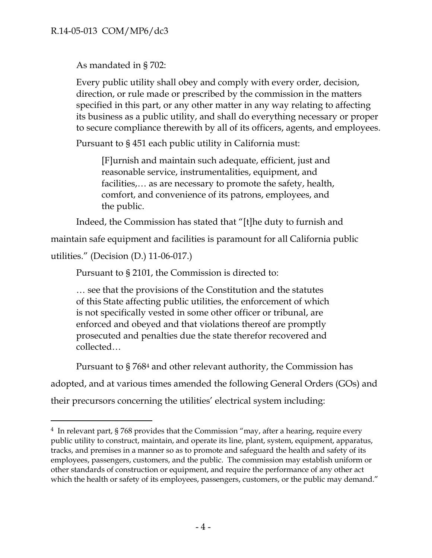As mandated in § 702:

Every public utility shall obey and comply with every order, decision, direction, or rule made or prescribed by the commission in the matters specified in this part, or any other matter in any way relating to affecting its business as a public utility, and shall do everything necessary or proper to secure compliance therewith by all of its officers, agents, and employees.

Pursuant to § 451 each public utility in California must:

[F]urnish and maintain such adequate, efficient, just and reasonable service, instrumentalities, equipment, and facilities,… as are necessary to promote the safety, health, comfort, and convenience of its patrons, employees, and the public.

Indeed, the Commission has stated that "[t]he duty to furnish and

maintain safe equipment and facilities is paramount for all California public

```
utilities." (Decision (D.) 11-06-017.)
```
 $\overline{a}$ 

Pursuant to § 2101, the Commission is directed to:

… see that the provisions of the Constitution and the statutes of this State affecting public utilities, the enforcement of which is not specifically vested in some other officer or tribunal, are enforced and obeyed and that violations thereof are promptly prosecuted and penalties due the state therefor recovered and collected…

Pursuant to § 768<sup>4</sup> and other relevant authority, the Commission has adopted, and at various times amended the following General Orders (GOs) and their precursors concerning the utilities' electrical system including:

<sup>&</sup>lt;sup>4</sup> In relevant part, § 768 provides that the Commission "may, after a hearing, require every public utility to construct, maintain, and operate its line, plant, system, equipment, apparatus, tracks, and premises in a manner so as to promote and safeguard the health and safety of its employees, passengers, customers, and the public. The commission may establish uniform or other standards of construction or equipment, and require the performance of any other act which the health or safety of its employees, passengers, customers, or the public may demand."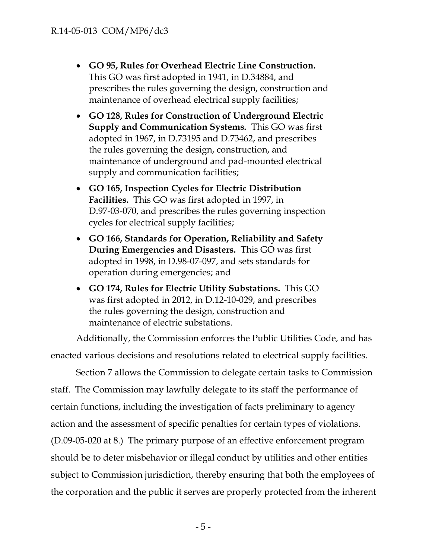- **GO 95, Rules for Overhead Electric Line Construction.** This GO was first adopted in 1941, in D.34884, and prescribes the rules governing the design, construction and maintenance of overhead electrical supply facilities;
- **GO 128, Rules for Construction of Underground Electric Supply and Communication Systems***.* This GO was first adopted in 1967, in D.73195 and D.73462, and prescribes the rules governing the design, construction, and maintenance of underground and pad-mounted electrical supply and communication facilities;
- **GO 165, Inspection Cycles for Electric Distribution Facilities.** This GO was first adopted in 1997, in D.97-03-070, and prescribes the rules governing inspection cycles for electrical supply facilities;
- **GO 166, Standards for Operation, Reliability and Safety During Emergencies and Disasters.** This GO was first adopted in 1998, in D.98-07-097, and sets standards for operation during emergencies; and
- **GO 174, Rules for Electric Utility Substations.** This GO was first adopted in 2012, in D.12-10-029, and prescribes the rules governing the design, construction and maintenance of electric substations.

Additionally, the Commission enforces the Public Utilities Code, and has enacted various decisions and resolutions related to electrical supply facilities.

Section 7 allows the Commission to delegate certain tasks to Commission staff. The Commission may lawfully delegate to its staff the performance of certain functions, including the investigation of facts preliminary to agency action and the assessment of specific penalties for certain types of violations. (D.09-05-020 at 8.) The primary purpose of an effective enforcement program should be to deter misbehavior or illegal conduct by utilities and other entities subject to Commission jurisdiction, thereby ensuring that both the employees of the corporation and the public it serves are properly protected from the inherent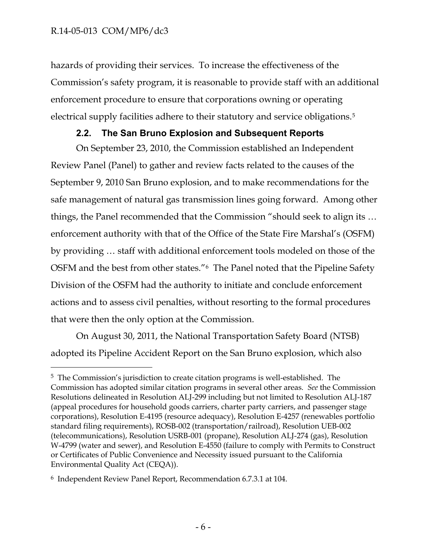$\overline{a}$ 

hazards of providing their services. To increase the effectiveness of the Commission's safety program, it is reasonable to provide staff with an additional enforcement procedure to ensure that corporations owning or operating electrical supply facilities adhere to their statutory and service obligations.<sup>5</sup>

### **2.2. The San Bruno Explosion and Subsequent Reports**

<span id="page-6-0"></span>On September 23, 2010, the Commission established an Independent Review Panel (Panel) to gather and review facts related to the causes of the September 9, 2010 San Bruno explosion, and to make recommendations for the safe management of natural gas transmission lines going forward. Among other things, the Panel recommended that the Commission "should seek to align its … enforcement authority with that of the Office of the State Fire Marshal's (OSFM) by providing … staff with additional enforcement tools modeled on those of the OSFM and the best from other states."6 The Panel noted that the Pipeline Safety Division of the OSFM had the authority to initiate and conclude enforcement actions and to assess civil penalties, without resorting to the formal procedures that were then the only option at the Commission.

On August 30, 2011, the National Transportation Safety Board (NTSB) adopted its Pipeline Accident Report on the San Bruno explosion, which also

<sup>5</sup> The Commission's jurisdiction to create citation programs is well-established. The Commission has adopted similar citation programs in several other areas. *See* the Commission Resolutions delineated in Resolution ALJ-299 including but not limited to Resolution ALJ-187 (appeal procedures for household goods carriers, charter party carriers, and passenger stage corporations), Resolution E-4195 (resource adequacy), Resolution E-4257 (renewables portfolio standard filing requirements), ROSB-002 (transportation/railroad), Resolution UEB-002 (telecommunications), Resolution USRB-001 (propane), Resolution ALJ-274 (gas), Resolution W-4799 (water and sewer), and Resolution E-4550 (failure to comply with Permits to Construct or Certificates of Public Convenience and Necessity issued pursuant to the California Environmental Quality Act (CEQA)).

<sup>6</sup> Independent Review Panel Report, Recommendation 6.7.3.1 at 104.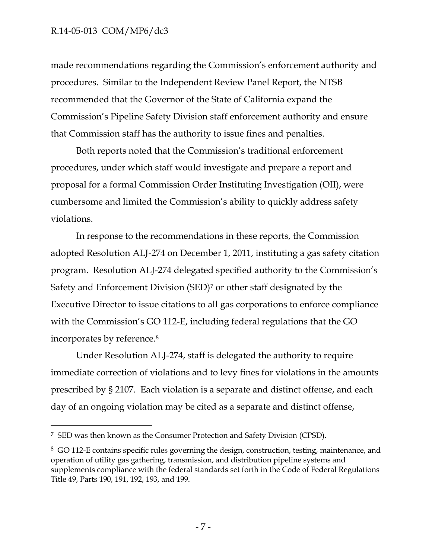$\overline{a}$ 

made recommendations regarding the Commission's enforcement authority and procedures. Similar to the Independent Review Panel Report, the NTSB recommended that the Governor of the State of California expand the Commission's Pipeline Safety Division staff enforcement authority and ensure that Commission staff has the authority to issue fines and penalties.

Both reports noted that the Commission's traditional enforcement procedures, under which staff would investigate and prepare a report and proposal for a formal Commission Order Instituting Investigation (OII), were cumbersome and limited the Commission's ability to quickly address safety violations.

In response to the recommendations in these reports, the Commission adopted Resolution ALJ-274 on December 1, 2011, instituting a gas safety citation program. Resolution ALJ-274 delegated specified authority to the Commission's Safety and Enforcement Division (SED)<sup>7</sup> or other staff designated by the Executive Director to issue citations to all gas corporations to enforce compliance with the Commission's GO 112-E, including federal regulations that the GO incorporates by reference.<sup>8</sup>

Under Resolution ALJ-274, staff is delegated the authority to require immediate correction of violations and to levy fines for violations in the amounts prescribed by § 2107. Each violation is a separate and distinct offense, and each day of an ongoing violation may be cited as a separate and distinct offense,

<sup>7</sup> SED was then known as the Consumer Protection and Safety Division (CPSD).

<sup>8</sup> GO 112-E contains specific rules governing the design, construction, testing, maintenance, and operation of utility gas gathering, transmission, and distribution pipeline systems and supplements compliance with the federal standards set forth in the Code of Federal Regulations Title 49, Parts 190, 191, 192, 193, and 199.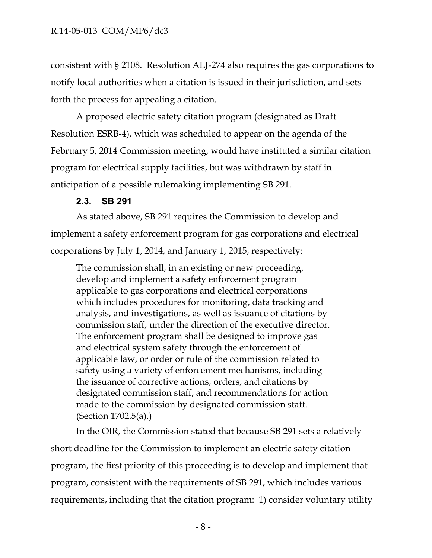consistent with § 2108. Resolution ALJ-274 also requires the gas corporations to notify local authorities when a citation is issued in their jurisdiction, and sets forth the process for appealing a citation.

A proposed electric safety citation program (designated as Draft Resolution ESRB-4), which was scheduled to appear on the agenda of the February 5, 2014 Commission meeting, would have instituted a similar citation program for electrical supply facilities, but was withdrawn by staff in anticipation of a possible rulemaking implementing SB 291.

#### **2.3. SB 291**

<span id="page-8-0"></span>As stated above, SB 291 requires the Commission to develop and implement a safety enforcement program for gas corporations and electrical corporations by July 1, 2014, and January 1, 2015, respectively:

The commission shall, in an existing or new proceeding, develop and implement a safety enforcement program applicable to gas corporations and electrical corporations which includes procedures for monitoring, data tracking and analysis, and investigations, as well as issuance of citations by commission staff, under the direction of the executive director. The enforcement program shall be designed to improve gas and electrical system safety through the enforcement of applicable law, or order or rule of the commission related to safety using a variety of enforcement mechanisms, including the issuance of corrective actions, orders, and citations by designated commission staff, and recommendations for action made to the commission by designated commission staff. (Section 1702.5(a).)

In the OIR, the Commission stated that because SB 291 sets a relatively short deadline for the Commission to implement an electric safety citation program, the first priority of this proceeding is to develop and implement that program, consistent with the requirements of SB 291, which includes various requirements, including that the citation program: 1) consider voluntary utility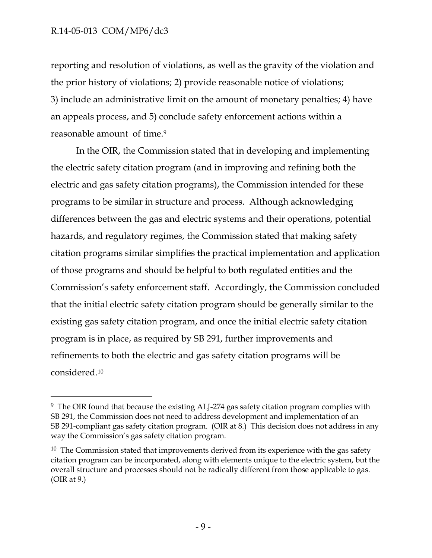$\overline{a}$ 

reporting and resolution of violations, as well as the gravity of the violation and the prior history of violations; 2) provide reasonable notice of violations; 3) include an administrative limit on the amount of monetary penalties; 4) have an appeals process, and 5) conclude safety enforcement actions within a reasonable amount of time.<sup>9</sup>

In the OIR, the Commission stated that in developing and implementing the electric safety citation program (and in improving and refining both the electric and gas safety citation programs), the Commission intended for these programs to be similar in structure and process. Although acknowledging differences between the gas and electric systems and their operations, potential hazards, and regulatory regimes, the Commission stated that making safety citation programs similar simplifies the practical implementation and application of those programs and should be helpful to both regulated entities and the Commission's safety enforcement staff. Accordingly, the Commission concluded that the initial electric safety citation program should be generally similar to the existing gas safety citation program, and once the initial electric safety citation program is in place, as required by SB 291, further improvements and refinements to both the electric and gas safety citation programs will be considered.<sup>10</sup>

<sup>&</sup>lt;sup>9</sup> The OIR found that because the existing ALJ-274 gas safety citation program complies with SB 291, the Commission does not need to address development and implementation of an SB 291-compliant gas safety citation program. (OIR at 8.) This decision does not address in any way the Commission's gas safety citation program.

 $10$  The Commission stated that improvements derived from its experience with the gas safety citation program can be incorporated, along with elements unique to the electric system, but the overall structure and processes should not be radically different from those applicable to gas. (OIR at 9.)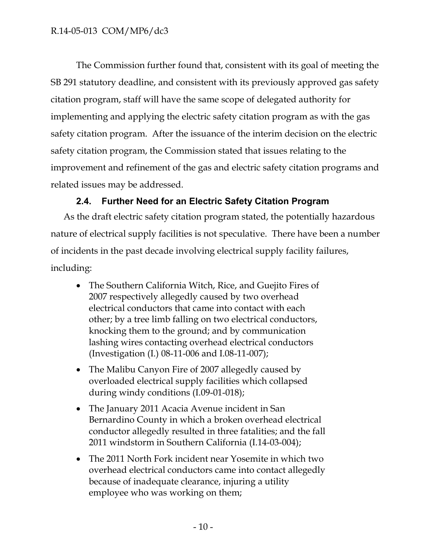The Commission further found that, consistent with its goal of meeting the SB 291 statutory deadline, and consistent with its previously approved gas safety citation program, staff will have the same scope of delegated authority for implementing and applying the electric safety citation program as with the gas safety citation program. After the issuance of the interim decision on the electric safety citation program, the Commission stated that issues relating to the improvement and refinement of the gas and electric safety citation programs and related issues may be addressed.

## **2.4. Further Need for an Electric Safety Citation Program**

<span id="page-10-0"></span>As the draft electric safety citation program stated, the potentially hazardous nature of electrical supply facilities is not speculative. There have been a number of incidents in the past decade involving electrical supply facility failures, including:

- The Southern California Witch, Rice, and Guejito Fires of 2007 respectively allegedly caused by two overhead electrical conductors that came into contact with each other; by a tree limb falling on two electrical conductors, knocking them to the ground; and by communication lashing wires contacting overhead electrical conductors (Investigation (I.) 08-11-006 and I.08-11-007);
- The Malibu Canyon Fire of 2007 allegedly caused by overloaded electrical supply facilities which collapsed during windy conditions (I.09-01-018);
- The January 2011 Acacia Avenue incident in San Bernardino County in which a broken overhead electrical conductor allegedly resulted in three fatalities; and the fall 2011 windstorm in Southern California (I.14-03-004);
- The 2011 North Fork incident near Yosemite in which two overhead electrical conductors came into contact allegedly because of inadequate clearance, injuring a utility employee who was working on them;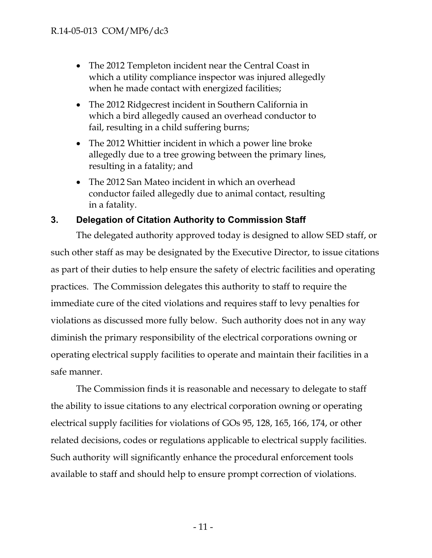- The 2012 Templeton incident near the Central Coast in which a utility compliance inspector was injured allegedly when he made contact with energized facilities;
- The 2012 Ridgecrest incident in Southern California in which a bird allegedly caused an overhead conductor to fail, resulting in a child suffering burns;
- The 2012 Whittier incident in which a power line broke allegedly due to a tree growing between the primary lines, resulting in a fatality; and
- The 2012 San Mateo incident in which an overhead conductor failed allegedly due to animal contact, resulting in a fatality.

## <span id="page-11-0"></span>**3. Delegation of Citation Authority to Commission Staff**

The delegated authority approved today is designed to allow SED staff, or such other staff as may be designated by the Executive Director, to issue citations as part of their duties to help ensure the safety of electric facilities and operating practices. The Commission delegates this authority to staff to require the immediate cure of the cited violations and requires staff to levy penalties for violations as discussed more fully below. Such authority does not in any way diminish the primary responsibility of the electrical corporations owning or operating electrical supply facilities to operate and maintain their facilities in a safe manner.

The Commission finds it is reasonable and necessary to delegate to staff the ability to issue citations to any electrical corporation owning or operating electrical supply facilities for violations of GOs 95, 128, 165, 166, 174, or other related decisions, codes or regulations applicable to electrical supply facilities. Such authority will significantly enhance the procedural enforcement tools available to staff and should help to ensure prompt correction of violations.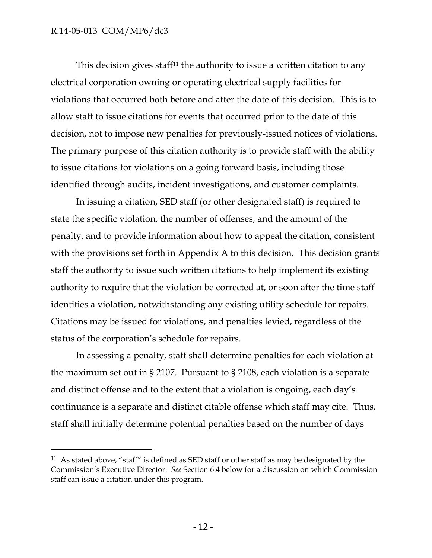$\overline{a}$ 

This decision gives staff<sup>11</sup> the authority to issue a written citation to any electrical corporation owning or operating electrical supply facilities for violations that occurred both before and after the date of this decision. This is to allow staff to issue citations for events that occurred prior to the date of this decision, not to impose new penalties for previously-issued notices of violations. The primary purpose of this citation authority is to provide staff with the ability to issue citations for violations on a going forward basis, including those identified through audits, incident investigations, and customer complaints.

In issuing a citation, SED staff (or other designated staff) is required to state the specific violation, the number of offenses, and the amount of the penalty, and to provide information about how to appeal the citation, consistent with the provisions set forth in Appendix A to this decision. This decision grants staff the authority to issue such written citations to help implement its existing authority to require that the violation be corrected at, or soon after the time staff identifies a violation, notwithstanding any existing utility schedule for repairs. Citations may be issued for violations, and penalties levied, regardless of the status of the corporation's schedule for repairs.

In assessing a penalty, staff shall determine penalties for each violation at the maximum set out in § 2107. Pursuant to § 2108, each violation is a separate and distinct offense and to the extent that a violation is ongoing, each day's continuance is a separate and distinct citable offense which staff may cite. Thus, staff shall initially determine potential penalties based on the number of days

 $11$  As stated above, "staff" is defined as SED staff or other staff as may be designated by the Commission's Executive Director. *See* Section 6.4 below for a discussion on which Commission staff can issue a citation under this program.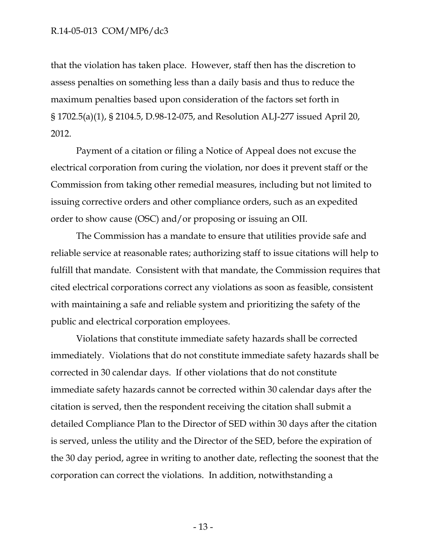that the violation has taken place. However, staff then has the discretion to assess penalties on something less than a daily basis and thus to reduce the maximum penalties based upon consideration of the factors set forth in § 1702.5(a)(1), § 2104.5, D.98-12-075, and Resolution ALJ-277 issued April 20, 2012.

Payment of a citation or filing a Notice of Appeal does not excuse the electrical corporation from curing the violation, nor does it prevent staff or the Commission from taking other remedial measures, including but not limited to issuing corrective orders and other compliance orders, such as an expedited order to show cause (OSC) and/or proposing or issuing an OII.

The Commission has a mandate to ensure that utilities provide safe and reliable service at reasonable rates; authorizing staff to issue citations will help to fulfill that mandate. Consistent with that mandate, the Commission requires that cited electrical corporations correct any violations as soon as feasible, consistent with maintaining a safe and reliable system and prioritizing the safety of the public and electrical corporation employees.

Violations that constitute immediate safety hazards shall be corrected immediately. Violations that do not constitute immediate safety hazards shall be corrected in 30 calendar days. If other violations that do not constitute immediate safety hazards cannot be corrected within 30 calendar days after the citation is served, then the respondent receiving the citation shall submit a detailed Compliance Plan to the Director of SED within 30 days after the citation is served, unless the utility and the Director of the SED, before the expiration of the 30 day period, agree in writing to another date, reflecting the soonest that the corporation can correct the violations. In addition, notwithstanding a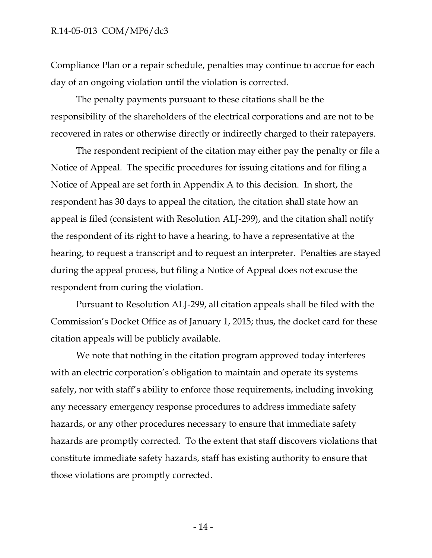Compliance Plan or a repair schedule, penalties may continue to accrue for each day of an ongoing violation until the violation is corrected.

The penalty payments pursuant to these citations shall be the responsibility of the shareholders of the electrical corporations and are not to be recovered in rates or otherwise directly or indirectly charged to their ratepayers.

The respondent recipient of the citation may either pay the penalty or file a Notice of Appeal. The specific procedures for issuing citations and for filing a Notice of Appeal are set forth in Appendix A to this decision. In short, the respondent has 30 days to appeal the citation, the citation shall state how an appeal is filed (consistent with Resolution ALJ-299), and the citation shall notify the respondent of its right to have a hearing, to have a representative at the hearing, to request a transcript and to request an interpreter. Penalties are stayed during the appeal process, but filing a Notice of Appeal does not excuse the respondent from curing the violation.

Pursuant to Resolution ALJ-299, all citation appeals shall be filed with the Commission's Docket Office as of January 1, 2015; thus, the docket card for these citation appeals will be publicly available.

We note that nothing in the citation program approved today interferes with an electric corporation's obligation to maintain and operate its systems safely, nor with staff's ability to enforce those requirements, including invoking any necessary emergency response procedures to address immediate safety hazards, or any other procedures necessary to ensure that immediate safety hazards are promptly corrected. To the extent that staff discovers violations that constitute immediate safety hazards, staff has existing authority to ensure that those violations are promptly corrected.

- 14 -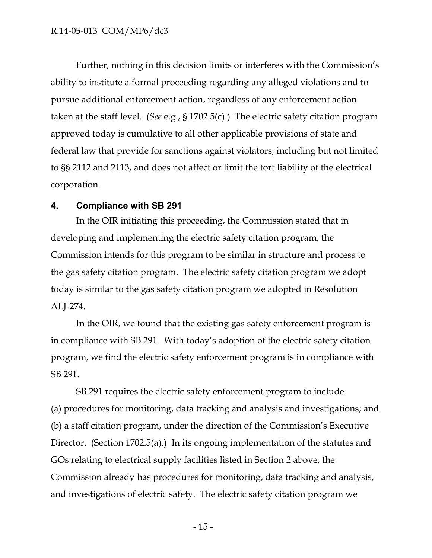Further, nothing in this decision limits or interferes with the Commission's ability to institute a formal proceeding regarding any alleged violations and to pursue additional enforcement action, regardless of any enforcement action taken at the staff level. (*See* e.g., § 1702.5(c).) The electric safety citation program approved today is cumulative to all other applicable provisions of state and federal law that provide for sanctions against violators, including but not limited to §§ 2112 and 2113, and does not affect or limit the tort liability of the electrical corporation.

#### <span id="page-15-0"></span>**4. Compliance with SB 291**

In the OIR initiating this proceeding, the Commission stated that in developing and implementing the electric safety citation program, the Commission intends for this program to be similar in structure and process to the gas safety citation program. The electric safety citation program we adopt today is similar to the gas safety citation program we adopted in Resolution ALJ-274.

In the OIR, we found that the existing gas safety enforcement program is in compliance with SB 291. With today's adoption of the electric safety citation program, we find the electric safety enforcement program is in compliance with SB 291.

SB 291 requires the electric safety enforcement program to include (a) procedures for monitoring, data tracking and analysis and investigations; and (b) a staff citation program, under the direction of the Commission's Executive Director. (Section 1702.5(a).) In its ongoing implementation of the statutes and GOs relating to electrical supply facilities listed in Section 2 above, the Commission already has procedures for monitoring, data tracking and analysis, and investigations of electric safety. The electric safety citation program we

- 15 -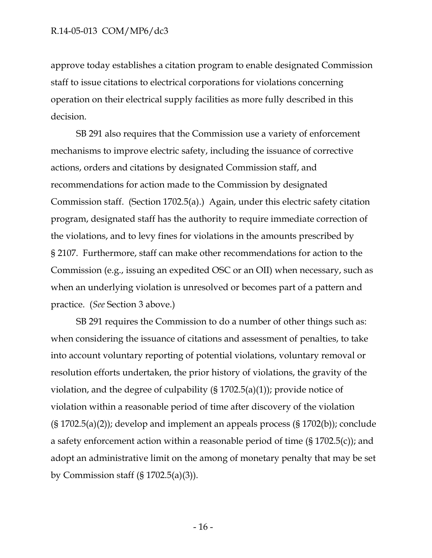approve today establishes a citation program to enable designated Commission staff to issue citations to electrical corporations for violations concerning operation on their electrical supply facilities as more fully described in this decision.

SB 291 also requires that the Commission use a variety of enforcement mechanisms to improve electric safety, including the issuance of corrective actions, orders and citations by designated Commission staff, and recommendations for action made to the Commission by designated Commission staff. (Section 1702.5(a).) Again, under this electric safety citation program, designated staff has the authority to require immediate correction of the violations, and to levy fines for violations in the amounts prescribed by § 2107. Furthermore, staff can make other recommendations for action to the Commission (e.g., issuing an expedited OSC or an OII) when necessary, such as when an underlying violation is unresolved or becomes part of a pattern and practice. (*See* Section 3 above.)

SB 291 requires the Commission to do a number of other things such as: when considering the issuance of citations and assessment of penalties, to take into account voluntary reporting of potential violations, voluntary removal or resolution efforts undertaken, the prior history of violations, the gravity of the violation, and the degree of culpability  $(S 1702.5(a)(1))$ ; provide notice of violation within a reasonable period of time after discovery of the violation (§ 1702.5(a)(2)); develop and implement an appeals process (§ 1702(b)); conclude a safety enforcement action within a reasonable period of time (§ 1702.5(c)); and adopt an administrative limit on the among of monetary penalty that may be set by Commission staff  $(\S 1702.5(a)(3))$ .

- 16 -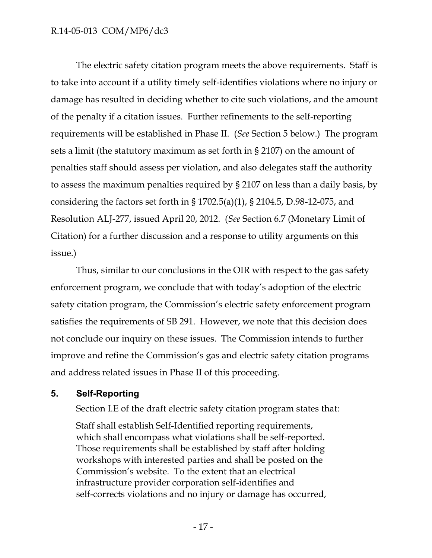The electric safety citation program meets the above requirements. Staff is to take into account if a utility timely self-identifies violations where no injury or damage has resulted in deciding whether to cite such violations, and the amount of the penalty if a citation issues. Further refinements to the self-reporting requirements will be established in Phase II. (*See* Section 5 below.) The program sets a limit (the statutory maximum as set forth in § 2107) on the amount of penalties staff should assess per violation, and also delegates staff the authority to assess the maximum penalties required by § 2107 on less than a daily basis, by considering the factors set forth in § 1702.5(a)(1), § 2104.5, D.98-12-075, and Resolution ALJ-277, issued April 20, 2012. (*See* Section 6.7 (Monetary Limit of Citation) for a further discussion and a response to utility arguments on this issue.)

Thus, similar to our conclusions in the OIR with respect to the gas safety enforcement program, we conclude that with today's adoption of the electric safety citation program, the Commission's electric safety enforcement program satisfies the requirements of SB 291. However, we note that this decision does not conclude our inquiry on these issues. The Commission intends to further improve and refine the Commission's gas and electric safety citation programs and address related issues in Phase II of this proceeding.

#### <span id="page-17-0"></span>**5. Self-Reporting**

Section I.E of the draft electric safety citation program states that:

Staff shall establish Self-Identified reporting requirements, which shall encompass what violations shall be self-reported. Those requirements shall be established by staff after holding workshops with interested parties and shall be posted on the Commission's website. To the extent that an electrical infrastructure provider corporation self-identifies and self-corrects violations and no injury or damage has occurred,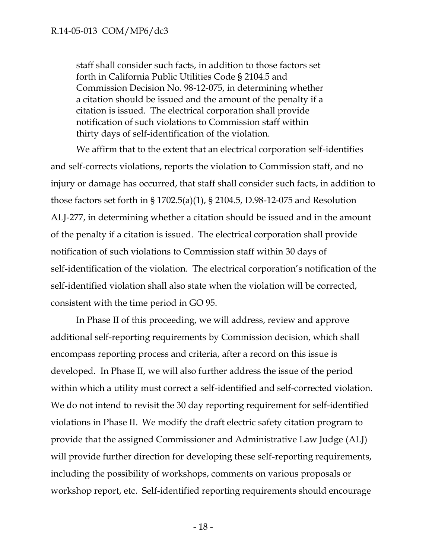staff shall consider such facts, in addition to those factors set forth in California Public Utilities Code § 2104.5 and Commission Decision No. 98-12-075, in determining whether a citation should be issued and the amount of the penalty if a citation is issued. The electrical corporation shall provide notification of such violations to Commission staff within thirty days of self-identification of the violation.

We affirm that to the extent that an electrical corporation self-identifies and self-corrects violations, reports the violation to Commission staff, and no injury or damage has occurred, that staff shall consider such facts, in addition to those factors set forth in § 1702.5(a)(1), § 2104.5, D.98-12-075 and Resolution ALJ-277, in determining whether a citation should be issued and in the amount of the penalty if a citation is issued. The electrical corporation shall provide notification of such violations to Commission staff within 30 days of self-identification of the violation. The electrical corporation's notification of the self-identified violation shall also state when the violation will be corrected, consistent with the time period in GO 95.

In Phase II of this proceeding, we will address, review and approve additional self-reporting requirements by Commission decision, which shall encompass reporting process and criteria, after a record on this issue is developed. In Phase II, we will also further address the issue of the period within which a utility must correct a self-identified and self-corrected violation. We do not intend to revisit the 30 day reporting requirement for self-identified violations in Phase II. We modify the draft electric safety citation program to provide that the assigned Commissioner and Administrative Law Judge (ALJ) will provide further direction for developing these self-reporting requirements, including the possibility of workshops, comments on various proposals or workshop report, etc. Self-identified reporting requirements should encourage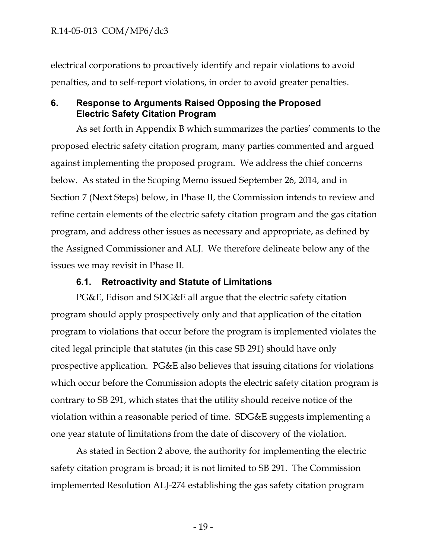electrical corporations to proactively identify and repair violations to avoid penalties, and to self-report violations, in order to avoid greater penalties.

### <span id="page-19-0"></span>**6. Response to Arguments Raised Opposing the Proposed Electric Safety Citation Program**

As set forth in Appendix B which summarizes the parties' comments to the proposed electric safety citation program, many parties commented and argued against implementing the proposed program. We address the chief concerns below. As stated in the Scoping Memo issued September 26, 2014, and in Section 7 (Next Steps) below, in Phase II, the Commission intends to review and refine certain elements of the electric safety citation program and the gas citation program, and address other issues as necessary and appropriate, as defined by the Assigned Commissioner and ALJ. We therefore delineate below any of the issues we may revisit in Phase II.

### **6.1. Retroactivity and Statute of Limitations**

<span id="page-19-1"></span>PG&E, Edison and SDG&E all argue that the electric safety citation program should apply prospectively only and that application of the citation program to violations that occur before the program is implemented violates the cited legal principle that statutes (in this case SB 291) should have only prospective application. PG&E also believes that issuing citations for violations which occur before the Commission adopts the electric safety citation program is contrary to SB 291, which states that the utility should receive notice of the violation within a reasonable period of time. SDG&E suggests implementing a one year statute of limitations from the date of discovery of the violation.

As stated in Section 2 above, the authority for implementing the electric safety citation program is broad; it is not limited to SB 291. The Commission implemented Resolution ALJ-274 establishing the gas safety citation program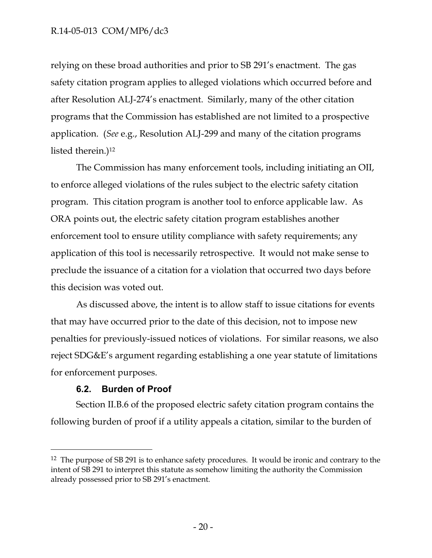relying on these broad authorities and prior to SB 291's enactment. The gas safety citation program applies to alleged violations which occurred before and after Resolution ALJ-274's enactment. Similarly, many of the other citation programs that the Commission has established are not limited to a prospective application. (*See* e.g., Resolution ALJ-299 and many of the citation programs listed therein.)<sup>12</sup>

The Commission has many enforcement tools, including initiating an OII, to enforce alleged violations of the rules subject to the electric safety citation program. This citation program is another tool to enforce applicable law. As ORA points out, the electric safety citation program establishes another enforcement tool to ensure utility compliance with safety requirements; any application of this tool is necessarily retrospective. It would not make sense to preclude the issuance of a citation for a violation that occurred two days before this decision was voted out.

As discussed above, the intent is to allow staff to issue citations for events that may have occurred prior to the date of this decision, not to impose new penalties for previously-issued notices of violations. For similar reasons, we also reject SDG&E's argument regarding establishing a one year statute of limitations for enforcement purposes.

### **6.2. Burden of Proof**

 $\overline{a}$ 

<span id="page-20-0"></span>Section II.B.6 of the proposed electric safety citation program contains the following burden of proof if a utility appeals a citation, similar to the burden of

<sup>&</sup>lt;sup>12</sup> The purpose of SB 291 is to enhance safety procedures. It would be ironic and contrary to the intent of SB 291 to interpret this statute as somehow limiting the authority the Commission already possessed prior to SB 291's enactment.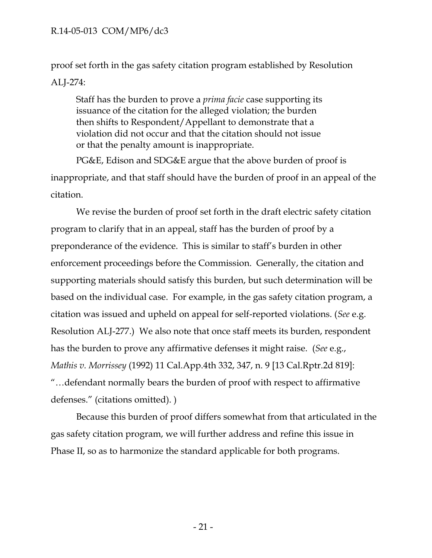proof set forth in the gas safety citation program established by Resolution ALJ-274:

Staff has the burden to prove a *prima facie* case supporting its issuance of the citation for the alleged violation; the burden then shifts to Respondent/Appellant to demonstrate that a violation did not occur and that the citation should not issue or that the penalty amount is inappropriate.

PG&E, Edison and SDG&E argue that the above burden of proof is inappropriate, and that staff should have the burden of proof in an appeal of the citation.

We revise the burden of proof set forth in the draft electric safety citation program to clarify that in an appeal, staff has the burden of proof by a preponderance of the evidence. This is similar to staff's burden in other enforcement proceedings before the Commission. Generally, the citation and supporting materials should satisfy this burden, but such determination will be based on the individual case. For example, in the gas safety citation program, a citation was issued and upheld on appeal for self-reported violations. (*See* e.g. Resolution ALJ-277.) We also note that once staff meets its burden, respondent has the burden to prove any affirmative defenses it might raise. (*See* e.g., *Mathis v. Morrissey* (1992) 11 Cal.App.4th 332, 347, n. 9 [13 Cal.Rptr.2d 819]: "…defendant normally bears the burden of proof with respect to affirmative defenses." (citations omitted). )

Because this burden of proof differs somewhat from that articulated in the gas safety citation program, we will further address and refine this issue in Phase II, so as to harmonize the standard applicable for both programs.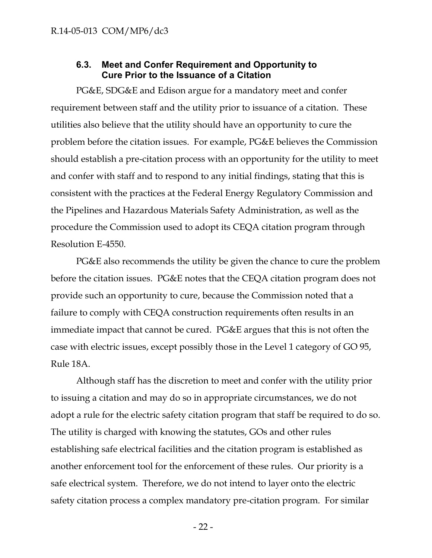#### **6.3. Meet and Confer Requirement and Opportunity to Cure Prior to the Issuance of a Citation**

<span id="page-22-0"></span>PG&E, SDG&E and Edison argue for a mandatory meet and confer requirement between staff and the utility prior to issuance of a citation. These utilities also believe that the utility should have an opportunity to cure the problem before the citation issues. For example, PG&E believes the Commission should establish a pre-citation process with an opportunity for the utility to meet and confer with staff and to respond to any initial findings, stating that this is consistent with the practices at the Federal Energy Regulatory Commission and the Pipelines and Hazardous Materials Safety Administration, as well as the procedure the Commission used to adopt its CEQA citation program through Resolution E-4550.

PG&E also recommends the utility be given the chance to cure the problem before the citation issues. PG&E notes that the CEQA citation program does not provide such an opportunity to cure, because the Commission noted that a failure to comply with CEQA construction requirements often results in an immediate impact that cannot be cured. PG&E argues that this is not often the case with electric issues, except possibly those in the Level 1 category of GO 95, Rule 18A.

Although staff has the discretion to meet and confer with the utility prior to issuing a citation and may do so in appropriate circumstances, we do not adopt a rule for the electric safety citation program that staff be required to do so. The utility is charged with knowing the statutes, GOs and other rules establishing safe electrical facilities and the citation program is established as another enforcement tool for the enforcement of these rules. Our priority is a safe electrical system. Therefore, we do not intend to layer onto the electric safety citation process a complex mandatory pre-citation program. For similar

- 22 -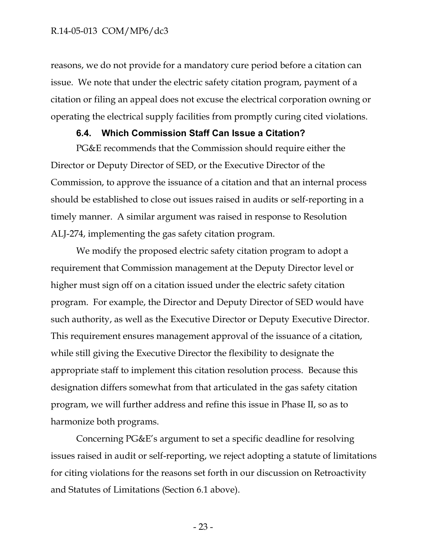reasons, we do not provide for a mandatory cure period before a citation can issue. We note that under the electric safety citation program, payment of a citation or filing an appeal does not excuse the electrical corporation owning or operating the electrical supply facilities from promptly curing cited violations.

#### **6.4. Which Commission Staff Can Issue a Citation?**

<span id="page-23-0"></span>PG&E recommends that the Commission should require either the Director or Deputy Director of SED, or the Executive Director of the Commission, to approve the issuance of a citation and that an internal process should be established to close out issues raised in audits or self-reporting in a timely manner. A similar argument was raised in response to Resolution ALJ-274, implementing the gas safety citation program.

We modify the proposed electric safety citation program to adopt a requirement that Commission management at the Deputy Director level or higher must sign off on a citation issued under the electric safety citation program. For example, the Director and Deputy Director of SED would have such authority, as well as the Executive Director or Deputy Executive Director. This requirement ensures management approval of the issuance of a citation, while still giving the Executive Director the flexibility to designate the appropriate staff to implement this citation resolution process. Because this designation differs somewhat from that articulated in the gas safety citation program, we will further address and refine this issue in Phase II, so as to harmonize both programs.

Concerning PG&E's argument to set a specific deadline for resolving issues raised in audit or self-reporting, we reject adopting a statute of limitations for citing violations for the reasons set forth in our discussion on Retroactivity and Statutes of Limitations (Section 6.1 above).

- 23 -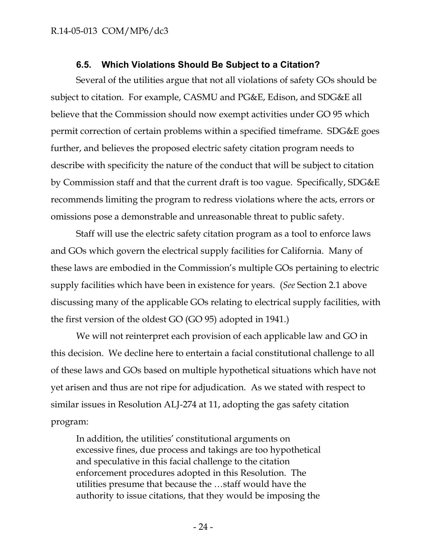### **6.5. Which Violations Should Be Subject to a Citation?**

<span id="page-24-0"></span>Several of the utilities argue that not all violations of safety GOs should be subject to citation. For example, CASMU and PG&E, Edison, and SDG&E all believe that the Commission should now exempt activities under GO 95 which permit correction of certain problems within a specified timeframe. SDG&E goes further, and believes the proposed electric safety citation program needs to describe with specificity the nature of the conduct that will be subject to citation by Commission staff and that the current draft is too vague. Specifically, SDG&E recommends limiting the program to redress violations where the acts, errors or omissions pose a demonstrable and unreasonable threat to public safety.

Staff will use the electric safety citation program as a tool to enforce laws and GOs which govern the electrical supply facilities for California. Many of these laws are embodied in the Commission's multiple GOs pertaining to electric supply facilities which have been in existence for years. (*See* Section 2.1 above discussing many of the applicable GOs relating to electrical supply facilities, with the first version of the oldest GO (GO 95) adopted in 1941.)

We will not reinterpret each provision of each applicable law and GO in this decision. We decline here to entertain a facial constitutional challenge to all of these laws and GOs based on multiple hypothetical situations which have not yet arisen and thus are not ripe for adjudication. As we stated with respect to similar issues in Resolution ALJ-274 at 11, adopting the gas safety citation program:

In addition, the utilities' constitutional arguments on excessive fines, due process and takings are too hypothetical and speculative in this facial challenge to the citation enforcement procedures adopted in this Resolution. The utilities presume that because the …staff would have the authority to issue citations, that they would be imposing the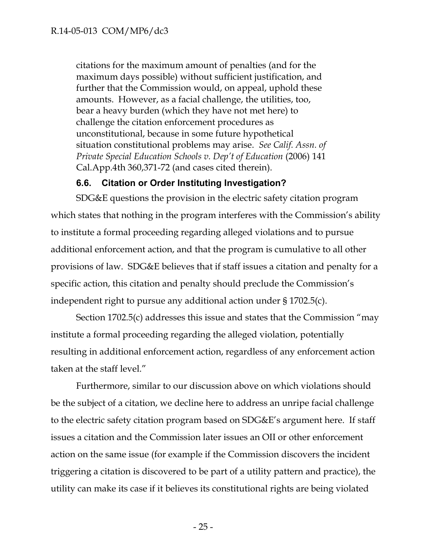citations for the maximum amount of penalties (and for the maximum days possible) without sufficient justification, and further that the Commission would, on appeal, uphold these amounts. However, as a facial challenge, the utilities, too, bear a heavy burden (which they have not met here) to challenge the citation enforcement procedures as unconstitutional, because in some future hypothetical situation constitutional problems may arise. *See Calif. Assn. of Private Special Education Schools v. Dep't of Education* (2006) 141 Cal.App.4th 360,371-72 (and cases cited therein).

### **6.6. Citation or Order Instituting Investigation?**

<span id="page-25-0"></span>SDG&E questions the provision in the electric safety citation program which states that nothing in the program interferes with the Commission's ability to institute a formal proceeding regarding alleged violations and to pursue additional enforcement action, and that the program is cumulative to all other provisions of law. SDG&E believes that if staff issues a citation and penalty for a specific action, this citation and penalty should preclude the Commission's independent right to pursue any additional action under § 1702.5(c).

Section 1702.5(c) addresses this issue and states that the Commission "may institute a formal proceeding regarding the alleged violation, potentially resulting in additional enforcement action, regardless of any enforcement action taken at the staff level."

Furthermore, similar to our discussion above on which violations should be the subject of a citation, we decline here to address an unripe facial challenge to the electric safety citation program based on SDG&E's argument here. If staff issues a citation and the Commission later issues an OII or other enforcement action on the same issue (for example if the Commission discovers the incident triggering a citation is discovered to be part of a utility pattern and practice), the utility can make its case if it believes its constitutional rights are being violated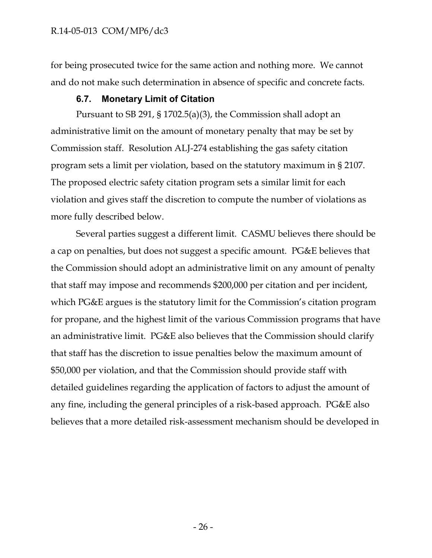for being prosecuted twice for the same action and nothing more. We cannot and do not make such determination in absence of specific and concrete facts.

### **6.7. Monetary Limit of Citation**

<span id="page-26-0"></span>Pursuant to SB 291, § 1702.5(a)(3), the Commission shall adopt an administrative limit on the amount of monetary penalty that may be set by Commission staff. Resolution ALJ-274 establishing the gas safety citation program sets a limit per violation, based on the statutory maximum in § 2107. The proposed electric safety citation program sets a similar limit for each violation and gives staff the discretion to compute the number of violations as more fully described below.

Several parties suggest a different limit. CASMU believes there should be a cap on penalties, but does not suggest a specific amount. PG&E believes that the Commission should adopt an administrative limit on any amount of penalty that staff may impose and recommends \$200,000 per citation and per incident, which PG&E argues is the statutory limit for the Commission's citation program for propane, and the highest limit of the various Commission programs that have an administrative limit. PG&E also believes that the Commission should clarify that staff has the discretion to issue penalties below the maximum amount of \$50,000 per violation, and that the Commission should provide staff with detailed guidelines regarding the application of factors to adjust the amount of any fine, including the general principles of a risk-based approach. PG&E also believes that a more detailed risk-assessment mechanism should be developed in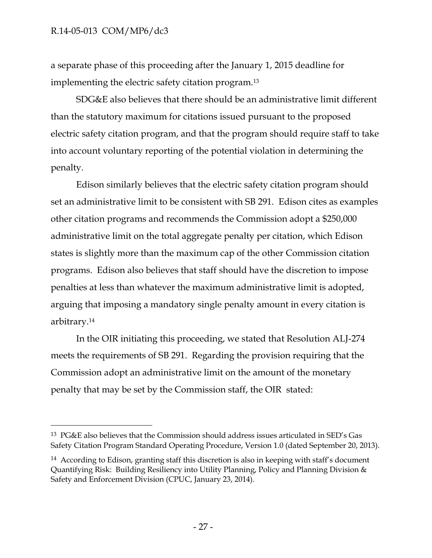$\overline{a}$ 

a separate phase of this proceeding after the January 1, 2015 deadline for implementing the electric safety citation program.<sup>13</sup>

SDG&E also believes that there should be an administrative limit different than the statutory maximum for citations issued pursuant to the proposed electric safety citation program, and that the program should require staff to take into account voluntary reporting of the potential violation in determining the penalty.

Edison similarly believes that the electric safety citation program should set an administrative limit to be consistent with SB 291. Edison cites as examples other citation programs and recommends the Commission adopt a \$250,000 administrative limit on the total aggregate penalty per citation, which Edison states is slightly more than the maximum cap of the other Commission citation programs. Edison also believes that staff should have the discretion to impose penalties at less than whatever the maximum administrative limit is adopted, arguing that imposing a mandatory single penalty amount in every citation is arbitrary.<sup>14</sup>

In the OIR initiating this proceeding, we stated that Resolution ALJ-274 meets the requirements of SB 291. Regarding the provision requiring that the Commission adopt an administrative limit on the amount of the monetary penalty that may be set by the Commission staff, the OIR stated:

<sup>13</sup> PG&E also believes that the Commission should address issues articulated in SED's Gas Safety Citation Program Standard Operating Procedure, Version 1.0 (dated September 20, 2013).

<sup>&</sup>lt;sup>14</sup> According to Edison, granting staff this discretion is also in keeping with staff's document Quantifying Risk: Building Resiliency into Utility Planning, Policy and Planning Division & Safety and Enforcement Division (CPUC, January 23, 2014).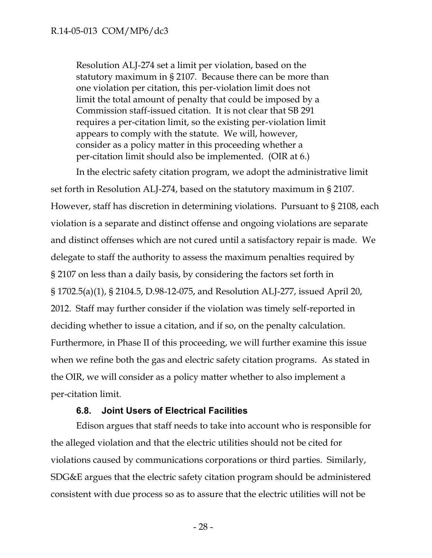Resolution ALJ-274 set a limit per violation, based on the statutory maximum in § 2107. Because there can be more than one violation per citation, this per-violation limit does not limit the total amount of penalty that could be imposed by a Commission staff-issued citation. It is not clear that SB 291 requires a per-citation limit, so the existing per-violation limit appears to comply with the statute. We will, however, consider as a policy matter in this proceeding whether a per-citation limit should also be implemented. (OIR at 6.)

In the electric safety citation program, we adopt the administrative limit set forth in Resolution ALJ-274, based on the statutory maximum in § 2107. However, staff has discretion in determining violations. Pursuant to § 2108, each violation is a separate and distinct offense and ongoing violations are separate and distinct offenses which are not cured until a satisfactory repair is made. We delegate to staff the authority to assess the maximum penalties required by § 2107 on less than a daily basis, by considering the factors set forth in § 1702.5(a)(1), § 2104.5, D.98-12-075, and Resolution ALJ-277, issued April 20, 2012. Staff may further consider if the violation was timely self-reported in deciding whether to issue a citation, and if so, on the penalty calculation. Furthermore, in Phase II of this proceeding, we will further examine this issue when we refine both the gas and electric safety citation programs. As stated in the OIR, we will consider as a policy matter whether to also implement a per-citation limit.

### **6.8. Joint Users of Electrical Facilities**

<span id="page-28-0"></span>Edison argues that staff needs to take into account who is responsible for the alleged violation and that the electric utilities should not be cited for violations caused by communications corporations or third parties. Similarly, SDG&E argues that the electric safety citation program should be administered consistent with due process so as to assure that the electric utilities will not be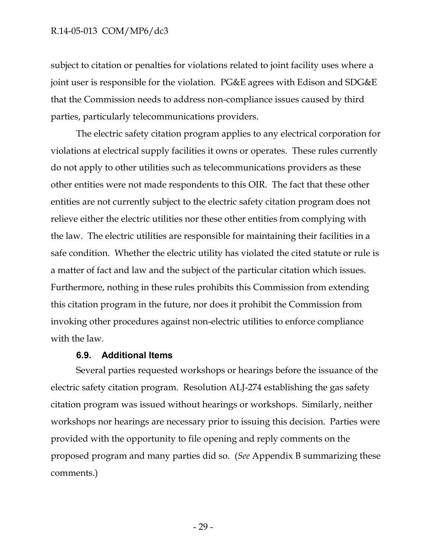subject to citation or penalties for violations related to joint facility uses where a joint user is responsible for the violation. PG&E agrees with Edison and SDG&E that the Commission needs to address non-compliance issues caused by third parties, particularly telecommunications providers.

The electric safety citation program applies to any electrical corporation for violations at electrical supply facilities it owns or operates. These rules currently do not apply to other utilities such as telecommunications providers as these other entities were not made respondents to this OIR. The fact that these other entities are not currently subject to the electric safety citation program does not relieve either the electric utilities nor these other entities from complying with the law. The electric utilities are responsible for maintaining their facilities in a safe condition. Whether the electric utility has violated the cited statute or rule is a matter of fact and law and the subject of the particular citation which issues. Furthermore, nothing in these rules prohibits this Commission from extending this citation program in the future, nor does it prohibit the Commission from invoking other procedures against non-electric utilities to enforce compliance with the law.

#### **6.9. Additional Items**

<span id="page-29-0"></span>Several parties requested workshops or hearings before the issuance of the electric safety citation program. Resolution ALJ-274 establishing the gas safety citation program was issued without hearings or workshops. Similarly, neither workshops nor hearings are necessary prior to issuing this decision. Parties were provided with the opportunity to file opening and reply comments on the proposed program and many parties did so. (*See* Appendix B summarizing these comments.)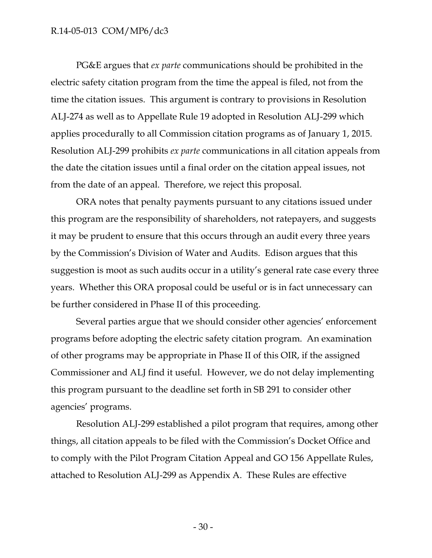PG&E argues that *ex parte* communications should be prohibited in the electric safety citation program from the time the appeal is filed, not from the time the citation issues. This argument is contrary to provisions in Resolution ALJ-274 as well as to Appellate Rule 19 adopted in Resolution ALJ-299 which applies procedurally to all Commission citation programs as of January 1, 2015. Resolution ALJ-299 prohibits *ex parte* communications in all citation appeals from the date the citation issues until a final order on the citation appeal issues, not from the date of an appeal. Therefore, we reject this proposal.

ORA notes that penalty payments pursuant to any citations issued under this program are the responsibility of shareholders, not ratepayers, and suggests it may be prudent to ensure that this occurs through an audit every three years by the Commission's Division of Water and Audits. Edison argues that this suggestion is moot as such audits occur in a utility's general rate case every three years. Whether this ORA proposal could be useful or is in fact unnecessary can be further considered in Phase II of this proceeding.

Several parties argue that we should consider other agencies' enforcement programs before adopting the electric safety citation program. An examination of other programs may be appropriate in Phase II of this OIR, if the assigned Commissioner and ALJ find it useful. However, we do not delay implementing this program pursuant to the deadline set forth in SB 291 to consider other agencies' programs.

Resolution ALJ-299 established a pilot program that requires, among other things, all citation appeals to be filed with the Commission's Docket Office and to comply with the Pilot Program Citation Appeal and GO 156 Appellate Rules, attached to Resolution ALJ-299 as Appendix A. These Rules are effective

- 30 -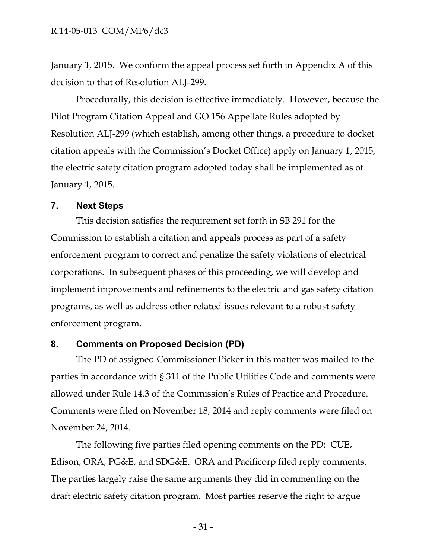January 1, 2015. We conform the appeal process set forth in Appendix A of this decision to that of Resolution ALJ-299.

Procedurally, this decision is effective immediately. However, because the Pilot Program Citation Appeal and GO 156 Appellate Rules adopted by Resolution ALJ-299 (which establish, among other things, a procedure to docket citation appeals with the Commission's Docket Office) apply on January 1, 2015, the electric safety citation program adopted today shall be implemented as of January 1, 2015.

#### <span id="page-31-0"></span>**7. Next Steps**

This decision satisfies the requirement set forth in SB 291 for the Commission to establish a citation and appeals process as part of a safety enforcement program to correct and penalize the safety violations of electrical corporations. In subsequent phases of this proceeding, we will develop and implement improvements and refinements to the electric and gas safety citation programs, as well as address other related issues relevant to a robust safety enforcement program.

### <span id="page-31-1"></span>**8. Comments on Proposed Decision (PD)**

The PD of assigned Commissioner Picker in this matter was mailed to the parties in accordance with § 311 of the Public Utilities Code and comments were allowed under Rule 14.3 of the Commission's Rules of Practice and Procedure. Comments were filed on November 18, 2014 and reply comments were filed on November 24, 2014.

The following five parties filed opening comments on the PD: CUE, Edison, ORA, PG&E, and SDG&E. ORA and Pacificorp filed reply comments. The parties largely raise the same arguments they did in commenting on the draft electric safety citation program. Most parties reserve the right to argue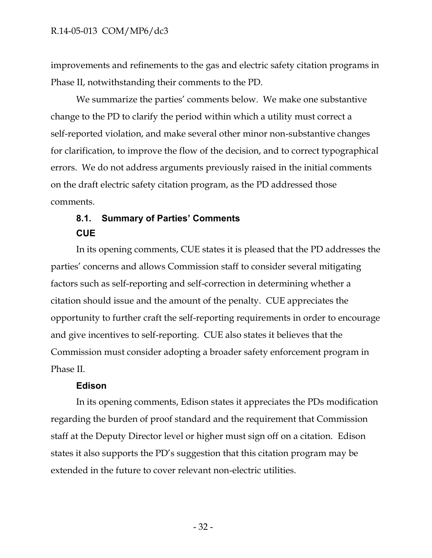improvements and refinements to the gas and electric safety citation programs in Phase II, notwithstanding their comments to the PD.

We summarize the parties' comments below. We make one substantive change to the PD to clarify the period within which a utility must correct a self-reported violation, and make several other minor non-substantive changes for clarification, to improve the flow of the decision, and to correct typographical errors. We do not address arguments previously raised in the initial comments on the draft electric safety citation program, as the PD addressed those comments.

# <span id="page-32-0"></span>**8.1. Summary of Parties' Comments CUE**

In its opening comments, CUE states it is pleased that the PD addresses the parties' concerns and allows Commission staff to consider several mitigating factors such as self-reporting and self-correction in determining whether a citation should issue and the amount of the penalty. CUE appreciates the opportunity to further craft the self-reporting requirements in order to encourage and give incentives to self-reporting. CUE also states it believes that the Commission must consider adopting a broader safety enforcement program in Phase II.

#### **Edison**

In its opening comments, Edison states it appreciates the PDs modification regarding the burden of proof standard and the requirement that Commission staff at the Deputy Director level or higher must sign off on a citation. Edison states it also supports the PD's suggestion that this citation program may be extended in the future to cover relevant non-electric utilities.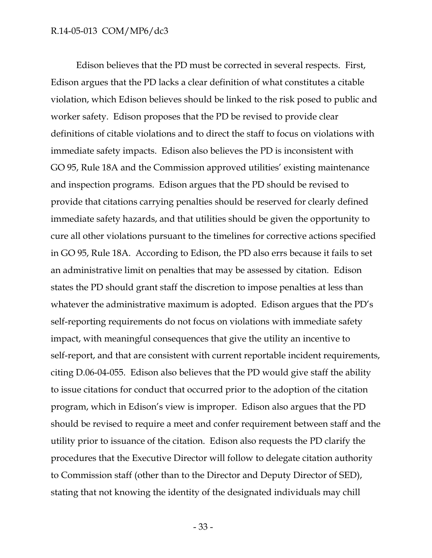Edison believes that the PD must be corrected in several respects. First, Edison argues that the PD lacks a clear definition of what constitutes a citable violation, which Edison believes should be linked to the risk posed to public and worker safety. Edison proposes that the PD be revised to provide clear definitions of citable violations and to direct the staff to focus on violations with immediate safety impacts. Edison also believes the PD is inconsistent with GO 95, Rule 18A and the Commission approved utilities' existing maintenance and inspection programs. Edison argues that the PD should be revised to provide that citations carrying penalties should be reserved for clearly defined immediate safety hazards, and that utilities should be given the opportunity to cure all other violations pursuant to the timelines for corrective actions specified in GO 95, Rule 18A. According to Edison, the PD also errs because it fails to set an administrative limit on penalties that may be assessed by citation. Edison states the PD should grant staff the discretion to impose penalties at less than whatever the administrative maximum is adopted. Edison argues that the PD's self-reporting requirements do not focus on violations with immediate safety impact, with meaningful consequences that give the utility an incentive to self-report, and that are consistent with current reportable incident requirements, citing D.06-04-055. Edison also believes that the PD would give staff the ability to issue citations for conduct that occurred prior to the adoption of the citation program, which in Edison's view is improper. Edison also argues that the PD should be revised to require a meet and confer requirement between staff and the utility prior to issuance of the citation. Edison also requests the PD clarify the procedures that the Executive Director will follow to delegate citation authority to Commission staff (other than to the Director and Deputy Director of SED), stating that not knowing the identity of the designated individuals may chill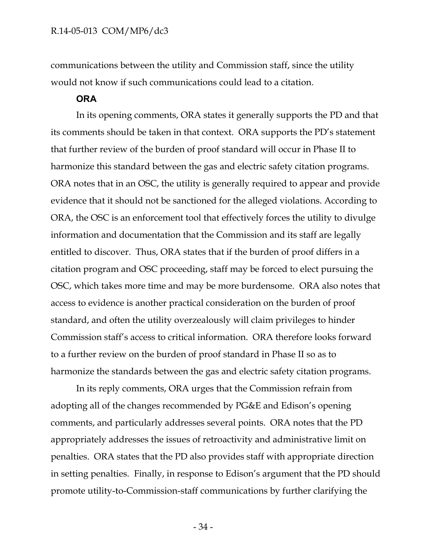communications between the utility and Commission staff, since the utility would not know if such communications could lead to a citation.

#### **ORA**

In its opening comments, ORA states it generally supports the PD and that its comments should be taken in that context. ORA supports the PD's statement that further review of the burden of proof standard will occur in Phase II to harmonize this standard between the gas and electric safety citation programs. ORA notes that in an OSC, the utility is generally required to appear and provide evidence that it should not be sanctioned for the alleged violations. According to ORA, the OSC is an enforcement tool that effectively forces the utility to divulge information and documentation that the Commission and its staff are legally entitled to discover. Thus, ORA states that if the burden of proof differs in a citation program and OSC proceeding, staff may be forced to elect pursuing the OSC, which takes more time and may be more burdensome. ORA also notes that access to evidence is another practical consideration on the burden of proof standard, and often the utility overzealously will claim privileges to hinder Commission staff's access to critical information. ORA therefore looks forward to a further review on the burden of proof standard in Phase II so as to harmonize the standards between the gas and electric safety citation programs.

In its reply comments, ORA urges that the Commission refrain from adopting all of the changes recommended by PG&E and Edison's opening comments, and particularly addresses several points. ORA notes that the PD appropriately addresses the issues of retroactivity and administrative limit on penalties. ORA states that the PD also provides staff with appropriate direction in setting penalties. Finally, in response to Edison's argument that the PD should promote utility-to-Commission-staff communications by further clarifying the

- 34 -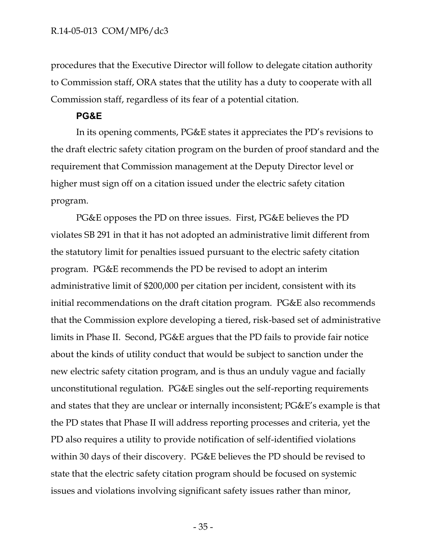procedures that the Executive Director will follow to delegate citation authority to Commission staff, ORA states that the utility has a duty to cooperate with all Commission staff, regardless of its fear of a potential citation.

#### **PG&E**

In its opening comments, PG&E states it appreciates the PD's revisions to the draft electric safety citation program on the burden of proof standard and the requirement that Commission management at the Deputy Director level or higher must sign off on a citation issued under the electric safety citation program.

PG&E opposes the PD on three issues. First, PG&E believes the PD violates SB 291 in that it has not adopted an administrative limit different from the statutory limit for penalties issued pursuant to the electric safety citation program. PG&E recommends the PD be revised to adopt an interim administrative limit of \$200,000 per citation per incident, consistent with its initial recommendations on the draft citation program. PG&E also recommends that the Commission explore developing a tiered, risk-based set of administrative limits in Phase II. Second, PG&E argues that the PD fails to provide fair notice about the kinds of utility conduct that would be subject to sanction under the new electric safety citation program, and is thus an unduly vague and facially unconstitutional regulation. PG&E singles out the self-reporting requirements and states that they are unclear or internally inconsistent; PG&E's example is that the PD states that Phase II will address reporting processes and criteria, yet the PD also requires a utility to provide notification of self-identified violations within 30 days of their discovery. PG&E believes the PD should be revised to state that the electric safety citation program should be focused on systemic issues and violations involving significant safety issues rather than minor,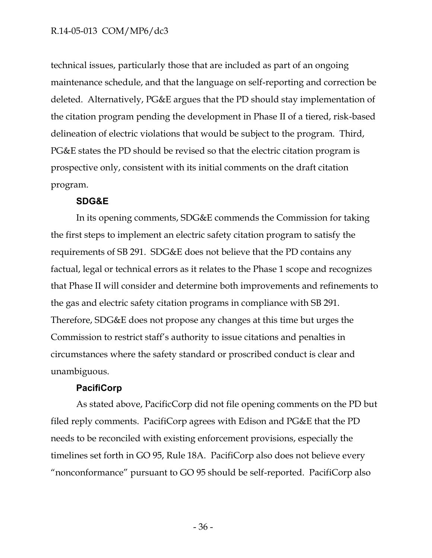technical issues, particularly those that are included as part of an ongoing maintenance schedule, and that the language on self-reporting and correction be deleted. Alternatively, PG&E argues that the PD should stay implementation of the citation program pending the development in Phase II of a tiered, risk-based delineation of electric violations that would be subject to the program. Third, PG&E states the PD should be revised so that the electric citation program is prospective only, consistent with its initial comments on the draft citation program.

#### **SDG&E**

In its opening comments, SDG&E commends the Commission for taking the first steps to implement an electric safety citation program to satisfy the requirements of SB 291. SDG&E does not believe that the PD contains any factual, legal or technical errors as it relates to the Phase 1 scope and recognizes that Phase II will consider and determine both improvements and refinements to the gas and electric safety citation programs in compliance with SB 291. Therefore, SDG&E does not propose any changes at this time but urges the Commission to restrict staff's authority to issue citations and penalties in circumstances where the safety standard or proscribed conduct is clear and unambiguous.

#### **PacifiCorp**

As stated above, PacificCorp did not file opening comments on the PD but filed reply comments. PacifiCorp agrees with Edison and PG&E that the PD needs to be reconciled with existing enforcement provisions, especially the timelines set forth in GO 95, Rule 18A. PacifiCorp also does not believe every "nonconformance" pursuant to GO 95 should be self-reported. PacifiCorp also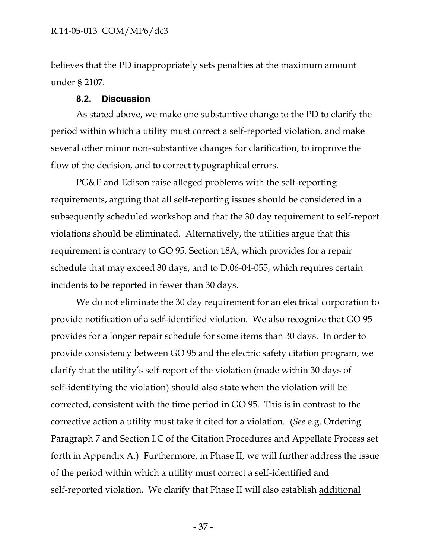believes that the PD inappropriately sets penalties at the maximum amount under § 2107.

#### **8.2. Discussion**

<span id="page-37-0"></span>As stated above, we make one substantive change to the PD to clarify the period within which a utility must correct a self-reported violation, and make several other minor non-substantive changes for clarification, to improve the flow of the decision, and to correct typographical errors.

PG&E and Edison raise alleged problems with the self-reporting requirements, arguing that all self-reporting issues should be considered in a subsequently scheduled workshop and that the 30 day requirement to self-report violations should be eliminated. Alternatively, the utilities argue that this requirement is contrary to GO 95, Section 18A, which provides for a repair schedule that may exceed 30 days, and to D.06-04-055, which requires certain incidents to be reported in fewer than 30 days.

We do not eliminate the 30 day requirement for an electrical corporation to provide notification of a self-identified violation. We also recognize that GO 95 provides for a longer repair schedule for some items than 30 days. In order to provide consistency between GO 95 and the electric safety citation program, we clarify that the utility's self-report of the violation (made within 30 days of self-identifying the violation) should also state when the violation will be corrected, consistent with the time period in GO 95. This is in contrast to the corrective action a utility must take if cited for a violation. (*See* e.g. Ordering Paragraph 7 and Section I.C of the Citation Procedures and Appellate Process set forth in Appendix A.) Furthermore, in Phase II, we will further address the issue of the period within which a utility must correct a self-identified and self-reported violation. We clarify that Phase II will also establish additional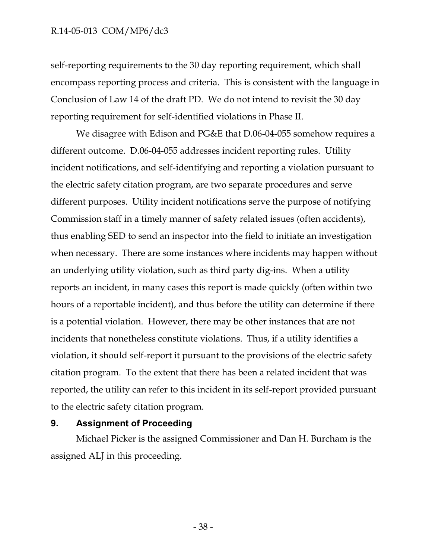self-reporting requirements to the 30 day reporting requirement, which shall encompass reporting process and criteria. This is consistent with the language in Conclusion of Law 14 of the draft PD. We do not intend to revisit the 30 day reporting requirement for self-identified violations in Phase II.

We disagree with Edison and PG&E that D.06-04-055 somehow requires a different outcome. D.06-04-055 addresses incident reporting rules. Utility incident notifications, and self-identifying and reporting a violation pursuant to the electric safety citation program, are two separate procedures and serve different purposes. Utility incident notifications serve the purpose of notifying Commission staff in a timely manner of safety related issues (often accidents), thus enabling SED to send an inspector into the field to initiate an investigation when necessary. There are some instances where incidents may happen without an underlying utility violation, such as third party dig-ins. When a utility reports an incident, in many cases this report is made quickly (often within two hours of a reportable incident), and thus before the utility can determine if there is a potential violation. However, there may be other instances that are not incidents that nonetheless constitute violations. Thus, if a utility identifies a violation, it should self-report it pursuant to the provisions of the electric safety citation program. To the extent that there has been a related incident that was reported, the utility can refer to this incident in its self-report provided pursuant to the electric safety citation program.

#### <span id="page-38-0"></span>**9. Assignment of Proceeding**

Michael Picker is the assigned Commissioner and Dan H. Burcham is the assigned ALJ in this proceeding.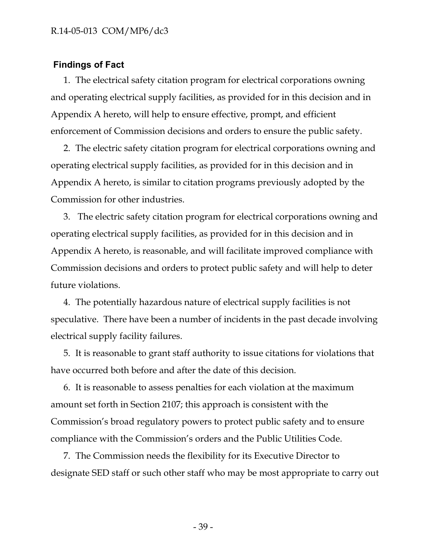### <span id="page-39-0"></span>**Findings of Fact**

1. The electrical safety citation program for electrical corporations owning and operating electrical supply facilities, as provided for in this decision and in Appendix A hereto, will help to ensure effective, prompt, and efficient enforcement of Commission decisions and orders to ensure the public safety.

2. The electric safety citation program for electrical corporations owning and operating electrical supply facilities, as provided for in this decision and in Appendix A hereto, is similar to citation programs previously adopted by the Commission for other industries.

3. The electric safety citation program for electrical corporations owning and operating electrical supply facilities, as provided for in this decision and in Appendix A hereto, is reasonable, and will facilitate improved compliance with Commission decisions and orders to protect public safety and will help to deter future violations.

4. The potentially hazardous nature of electrical supply facilities is not speculative. There have been a number of incidents in the past decade involving electrical supply facility failures.

5. It is reasonable to grant staff authority to issue citations for violations that have occurred both before and after the date of this decision.

6. It is reasonable to assess penalties for each violation at the maximum amount set forth in Section 2107; this approach is consistent with the Commission's broad regulatory powers to protect public safety and to ensure compliance with the Commission's orders and the Public Utilities Code.

7. The Commission needs the flexibility for its Executive Director to designate SED staff or such other staff who may be most appropriate to carry out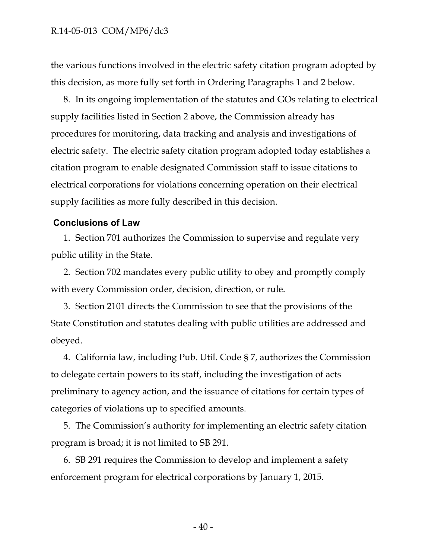the various functions involved in the electric safety citation program adopted by this decision, as more fully set forth in Ordering Paragraphs 1 and 2 below.

8. In its ongoing implementation of the statutes and GOs relating to electrical supply facilities listed in Section 2 above, the Commission already has procedures for monitoring, data tracking and analysis and investigations of electric safety. The electric safety citation program adopted today establishes a citation program to enable designated Commission staff to issue citations to electrical corporations for violations concerning operation on their electrical supply facilities as more fully described in this decision.

#### <span id="page-40-0"></span>**Conclusions of Law**

1. Section 701 authorizes the Commission to supervise and regulate very public utility in the State.

2. Section 702 mandates every public utility to obey and promptly comply with every Commission order, decision, direction, or rule.

3. Section 2101 directs the Commission to see that the provisions of the State Constitution and statutes dealing with public utilities are addressed and obeyed.

4. California law, including Pub. Util. Code § 7, authorizes the Commission to delegate certain powers to its staff, including the investigation of acts preliminary to agency action, and the issuance of citations for certain types of categories of violations up to specified amounts.

5. The Commission's authority for implementing an electric safety citation program is broad; it is not limited to SB 291.

6. SB 291 requires the Commission to develop and implement a safety enforcement program for electrical corporations by January 1, 2015.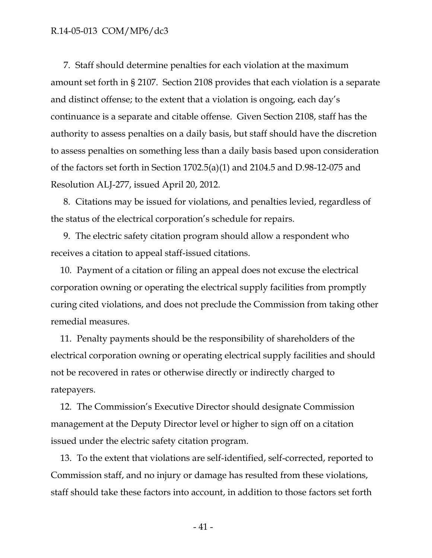7. Staff should determine penalties for each violation at the maximum amount set forth in § 2107. Section 2108 provides that each violation is a separate and distinct offense; to the extent that a violation is ongoing, each day's continuance is a separate and citable offense. Given Section 2108, staff has the authority to assess penalties on a daily basis, but staff should have the discretion to assess penalties on something less than a daily basis based upon consideration of the factors set forth in Section 1702.5(a)(1) and 2104.5 and D.98-12-075 and Resolution ALJ-277, issued April 20, 2012.

8. Citations may be issued for violations, and penalties levied, regardless of the status of the electrical corporation's schedule for repairs.

9. The electric safety citation program should allow a respondent who receives a citation to appeal staff-issued citations.

10. Payment of a citation or filing an appeal does not excuse the electrical corporation owning or operating the electrical supply facilities from promptly curing cited violations, and does not preclude the Commission from taking other remedial measures.

11. Penalty payments should be the responsibility of shareholders of the electrical corporation owning or operating electrical supply facilities and should not be recovered in rates or otherwise directly or indirectly charged to ratepayers.

12. The Commission's Executive Director should designate Commission management at the Deputy Director level or higher to sign off on a citation issued under the electric safety citation program.

13. To the extent that violations are self-identified, self-corrected, reported to Commission staff, and no injury or damage has resulted from these violations, staff should take these factors into account, in addition to those factors set forth

- 41 -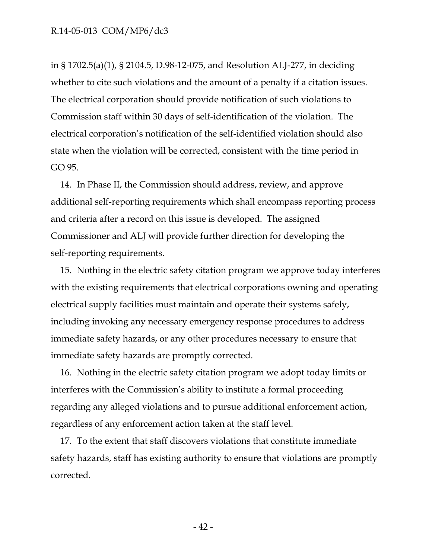in § 1702.5(a)(1), § 2104.5, D.98-12-075, and Resolution ALJ-277, in deciding whether to cite such violations and the amount of a penalty if a citation issues. The electrical corporation should provide notification of such violations to Commission staff within 30 days of self-identification of the violation. The electrical corporation's notification of the self-identified violation should also state when the violation will be corrected, consistent with the time period in GO 95.

14. In Phase II, the Commission should address, review, and approve additional self-reporting requirements which shall encompass reporting process and criteria after a record on this issue is developed. The assigned Commissioner and ALJ will provide further direction for developing the self-reporting requirements.

15. Nothing in the electric safety citation program we approve today interferes with the existing requirements that electrical corporations owning and operating electrical supply facilities must maintain and operate their systems safely, including invoking any necessary emergency response procedures to address immediate safety hazards, or any other procedures necessary to ensure that immediate safety hazards are promptly corrected.

16. Nothing in the electric safety citation program we adopt today limits or interferes with the Commission's ability to institute a formal proceeding regarding any alleged violations and to pursue additional enforcement action, regardless of any enforcement action taken at the staff level.

17. To the extent that staff discovers violations that constitute immediate safety hazards, staff has existing authority to ensure that violations are promptly corrected.

- 42 -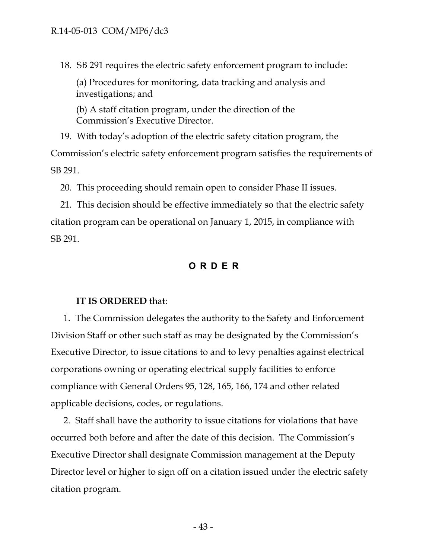18. SB 291 requires the electric safety enforcement program to include:

(a) Procedures for monitoring, data tracking and analysis and investigations; and

(b) A staff citation program, under the direction of the Commission's Executive Director.

19. With today's adoption of the electric safety citation program, the Commission's electric safety enforcement program satisfies the requirements of SB 291.

20. This proceeding should remain open to consider Phase II issues.

21. This decision should be effective immediately so that the electric safety citation program can be operational on January 1, 2015, in compliance with SB 291.

### **ORDER**

#### <span id="page-43-0"></span>**IT IS ORDERED** that:

1. The Commission delegates the authority to the Safety and Enforcement Division Staff or other such staff as may be designated by the Commission's Executive Director, to issue citations to and to levy penalties against electrical corporations owning or operating electrical supply facilities to enforce compliance with General Orders 95, 128, 165, 166, 174 and other related applicable decisions, codes, or regulations.

2. Staff shall have the authority to issue citations for violations that have occurred both before and after the date of this decision. The Commission's Executive Director shall designate Commission management at the Deputy Director level or higher to sign off on a citation issued under the electric safety citation program.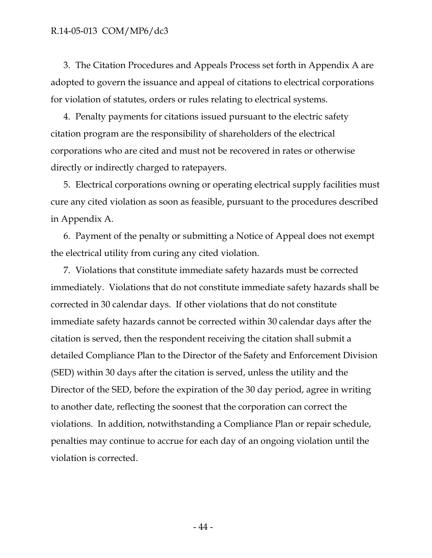3. The Citation Procedures and Appeals Process set forth in Appendix A are adopted to govern the issuance and appeal of citations to electrical corporations for violation of statutes, orders or rules relating to electrical systems.

4. Penalty payments for citations issued pursuant to the electric safety citation program are the responsibility of shareholders of the electrical corporations who are cited and must not be recovered in rates or otherwise directly or indirectly charged to ratepayers.

5. Electrical corporations owning or operating electrical supply facilities must cure any cited violation as soon as feasible, pursuant to the procedures described in Appendix A.

6. Payment of the penalty or submitting a Notice of Appeal does not exempt the electrical utility from curing any cited violation.

7. Violations that constitute immediate safety hazards must be corrected immediately. Violations that do not constitute immediate safety hazards shall be corrected in 30 calendar days. If other violations that do not constitute immediate safety hazards cannot be corrected within 30 calendar days after the citation is served, then the respondent receiving the citation shall submit a detailed Compliance Plan to the Director of the Safety and Enforcement Division (SED) within 30 days after the citation is served, unless the utility and the Director of the SED, before the expiration of the 30 day period, agree in writing to another date, reflecting the soonest that the corporation can correct the violations. In addition, notwithstanding a Compliance Plan or repair schedule, penalties may continue to accrue for each day of an ongoing violation until the violation is corrected.

- 44 -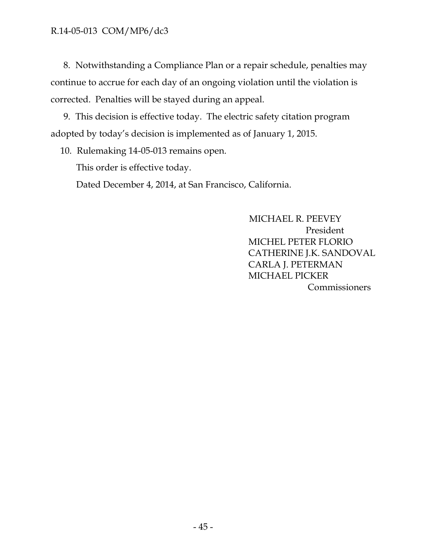8. Notwithstanding a Compliance Plan or a repair schedule, penalties may continue to accrue for each day of an ongoing violation until the violation is corrected. Penalties will be stayed during an appeal.

9. This decision is effective today. The electric safety citation program adopted by today's decision is implemented as of January 1, 2015.

10. Rulemaking 14-05-013 remains open.

This order is effective today.

Dated December 4, 2014, at San Francisco, California.

 MICHAEL R. PEEVEY President MICHEL PETER FLORIO CATHERINE J.K. SANDOVAL CARLA J. PETERMAN MICHAEL PICKER **Commissioners**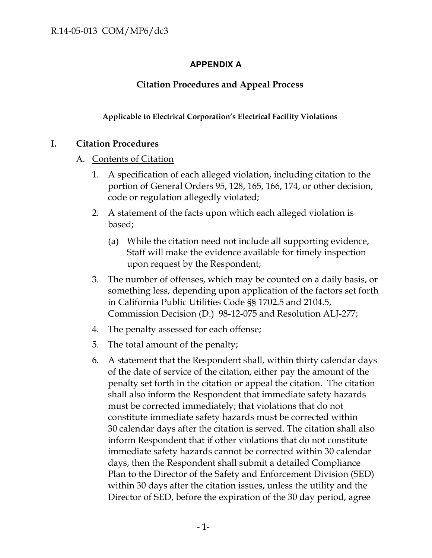## **APPENDIX A**

## **Citation Procedures and Appeal Process**

### **Applicable to Electrical Corporation's Electrical Facility Violations**

### **I. Citation Procedures**

### A. Contents of Citation

- 1. A specification of each alleged violation, including citation to the portion of General Orders 95, 128, 165, 166, 174, or other decision, code or regulation allegedly violated;
- 2. A statement of the facts upon which each alleged violation is based;
	- (a) While the citation need not include all supporting evidence, Staff will make the evidence available for timely inspection upon request by the Respondent;
- 3. The number of offenses, which may be counted on a daily basis, or something less, depending upon application of the factors set forth in California Public Utilities Code §§ 1702.5 and 2104.5, Commission Decision (D.) 98-12-075 and Resolution ALJ-277;
- 4. The penalty assessed for each offense;
- 5. The total amount of the penalty;
- 6. A statement that the Respondent shall, within thirty calendar days of the date of service of the citation, either pay the amount of the penalty set forth in the citation or appeal the citation. The citation shall also inform the Respondent that immediate safety hazards must be corrected immediately; that violations that do not constitute immediate safety hazards must be corrected within 30 calendar days after the citation is served. The citation shall also inform Respondent that if other violations that do not constitute immediate safety hazards cannot be corrected within 30 calendar days, then the Respondent shall submit a detailed Compliance Plan to the Director of the Safety and Enforcement Division (SED) within 30 days after the citation issues, unless the utility and the Director of SED, before the expiration of the 30 day period, agree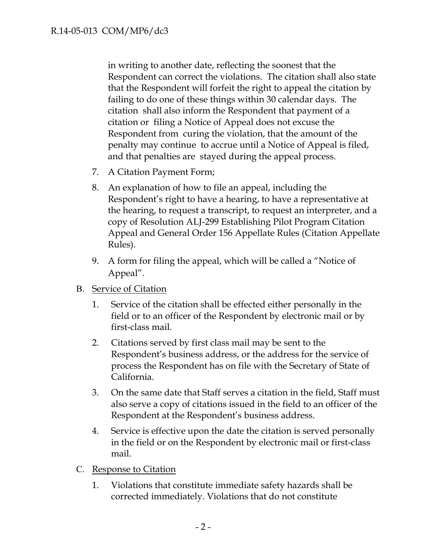in writing to another date, reflecting the soonest that the Respondent can correct the violations. The citation shall also state that the Respondent will forfeit the right to appeal the citation by failing to do one of these things within 30 calendar days. The citation shall also inform the Respondent that payment of a citation or filing a Notice of Appeal does not excuse the Respondent from curing the violation, that the amount of the penalty may continue to accrue until a Notice of Appeal is filed, and that penalties are stayed during the appeal process.

- 7. A Citation Payment Form;
- 8. An explanation of how to file an appeal, including the Respondent's right to have a hearing, to have a representative at the hearing, to request a transcript, to request an interpreter, and a copy of Resolution ALJ-299 Establishing Pilot Program Citation Appeal and General Order 156 Appellate Rules (Citation Appellate Rules).
- 9. A form for filing the appeal, which will be called a "Notice of Appeal".
- B. Service of Citation
	- 1. Service of the citation shall be effected either personally in the field or to an officer of the Respondent by electronic mail or by first-class mail.
	- 2. Citations served by first class mail may be sent to the Respondent's business address, or the address for the service of process the Respondent has on file with the Secretary of State of California.
	- 3. On the same date that Staff serves a citation in the field, Staff must also serve a copy of citations issued in the field to an officer of the Respondent at the Respondent's business address.
	- 4. Service is effective upon the date the citation is served personally in the field or on the Respondent by electronic mail or first-class mail.
- C. Response to Citation
	- 1. Violations that constitute immediate safety hazards shall be corrected immediately. Violations that do not constitute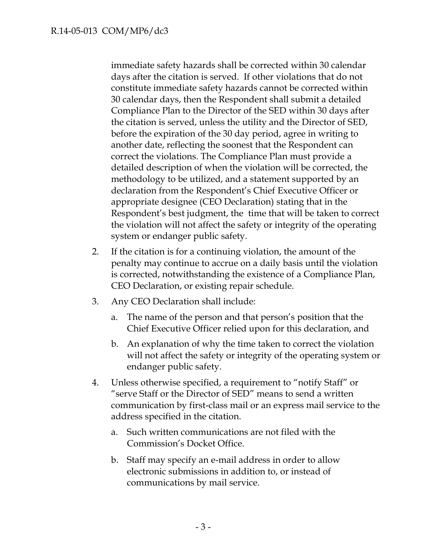immediate safety hazards shall be corrected within 30 calendar days after the citation is served. If other violations that do not constitute immediate safety hazards cannot be corrected within 30 calendar days, then the Respondent shall submit a detailed Compliance Plan to the Director of the SED within 30 days after the citation is served, unless the utility and the Director of SED, before the expiration of the 30 day period, agree in writing to another date, reflecting the soonest that the Respondent can correct the violations. The Compliance Plan must provide a detailed description of when the violation will be corrected, the methodology to be utilized, and a statement supported by an declaration from the Respondent's Chief Executive Officer or appropriate designee (CEO Declaration) stating that in the Respondent's best judgment, the time that will be taken to correct the violation will not affect the safety or integrity of the operating system or endanger public safety.

- 2. If the citation is for a continuing violation, the amount of the penalty may continue to accrue on a daily basis until the violation is corrected, notwithstanding the existence of a Compliance Plan, CEO Declaration, or existing repair schedule.
- 3. Any CEO Declaration shall include:
	- a. The name of the person and that person's position that the Chief Executive Officer relied upon for this declaration, and
	- b. An explanation of why the time taken to correct the violation will not affect the safety or integrity of the operating system or endanger public safety.
- 4. Unless otherwise specified, a requirement to "notify Staff" or "serve Staff or the Director of SED" means to send a written communication by first-class mail or an express mail service to the address specified in the citation.
	- a. Such written communications are not filed with the Commission's Docket Office.
	- b. Staff may specify an e-mail address in order to allow electronic submissions in addition to, or instead of communications by mail service.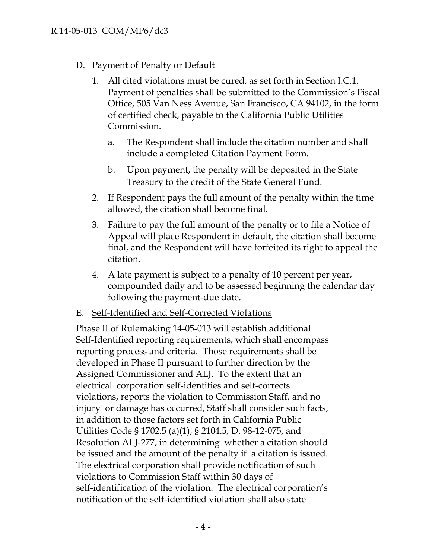## D. Payment of Penalty or Default

- 1. All cited violations must be cured, as set forth in Section I.C.1. Payment of penalties shall be submitted to the Commission's Fiscal Office, 505 Van Ness Avenue, San Francisco, CA 94102, in the form of certified check, payable to the California Public Utilities Commission.
	- a. The Respondent shall include the citation number and shall include a completed Citation Payment Form.
	- b. Upon payment, the penalty will be deposited in the State Treasury to the credit of the State General Fund.
- 2. If Respondent pays the full amount of the penalty within the time allowed, the citation shall become final.
- 3. Failure to pay the full amount of the penalty or to file a Notice of Appeal will place Respondent in default, the citation shall become final, and the Respondent will have forfeited its right to appeal the citation.
- 4. A late payment is subject to a penalty of 10 percent per year, compounded daily and to be assessed beginning the calendar day following the payment-due date.
- E. Self-Identified and Self-Corrected Violations

Phase II of Rulemaking 14-05-013 will establish additional Self-Identified reporting requirements, which shall encompass reporting process and criteria. Those requirements shall be developed in Phase II pursuant to further direction by the Assigned Commissioner and ALJ. To the extent that an electrical corporation self-identifies and self-corrects violations, reports the violation to Commission Staff, and no injury or damage has occurred, Staff shall consider such facts, in addition to those factors set forth in California Public Utilities Code § 1702.5 (a)(1), § 2104.5, D. 98-12-075, and Resolution ALJ-277, in determining whether a citation should be issued and the amount of the penalty if a citation is issued. The electrical corporation shall provide notification of such violations to Commission Staff within 30 days of self-identification of the violation. The electrical corporation's notification of the self-identified violation shall also state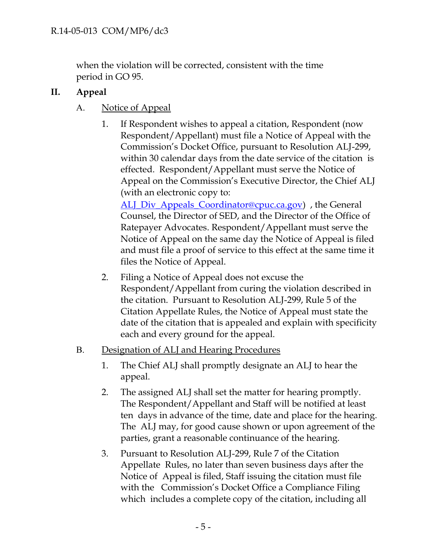when the violation will be corrected, consistent with the time period in GO 95.

## **II. Appeal**

## A. Notice of Appeal

1. If Respondent wishes to appeal a citation, Respondent (now Respondent/Appellant) must file a Notice of Appeal with the Commission's Docket Office, pursuant to Resolution ALJ-299, within 30 calendar days from the date service of the citation is effected. Respondent/Appellant must serve the Notice of Appeal on the Commission's Executive Director, the Chief ALJ (with an electronic copy to:

[ALJ\\_Div\\_Appeals\\_Coordinator@cpuc.ca.gov\)](mailto:ALJ_Div_Appeals_Coordinator@cpuc.ca.gov), the General Counsel, the Director of SED, and the Director of the Office of Ratepayer Advocates. Respondent/Appellant must serve the Notice of Appeal on the same day the Notice of Appeal is filed and must file a proof of service to this effect at the same time it files the Notice of Appeal.

- 2. Filing a Notice of Appeal does not excuse the Respondent/Appellant from curing the violation described in the citation. Pursuant to Resolution ALJ-299, Rule 5 of the Citation Appellate Rules, the Notice of Appeal must state the date of the citation that is appealed and explain with specificity each and every ground for the appeal.
- B. Designation of ALJ and Hearing Procedures
	- 1. The Chief ALJ shall promptly designate an ALJ to hear the appeal.
	- 2. The assigned ALJ shall set the matter for hearing promptly. The Respondent/Appellant and Staff will be notified at least ten days in advance of the time, date and place for the hearing. The ALJ may, for good cause shown or upon agreement of the parties, grant a reasonable continuance of the hearing.
	- 3. Pursuant to Resolution ALJ-299, Rule 7 of the Citation Appellate Rules, no later than seven business days after the Notice of Appeal is filed, Staff issuing the citation must file with the Commission's Docket Office a Compliance Filing which includes a complete copy of the citation, including all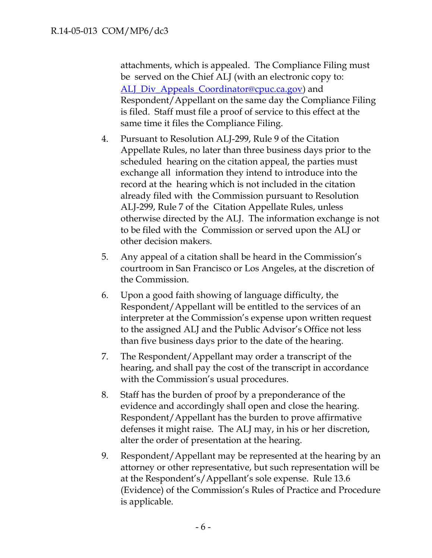attachments, which is appealed. The Compliance Filing must be served on the Chief ALJ (with an electronic copy to: [ALJ\\_Div\\_Appeals\\_Coordinator@cpuc.ca.gov\)](mailto:ALJ_Div_Appeals_Coordinator@cpuc.ca.gov) and Respondent/Appellant on the same day the Compliance Filing is filed. Staff must file a proof of service to this effect at the same time it files the Compliance Filing.

- 4. Pursuant to Resolution ALJ-299, Rule 9 of the Citation Appellate Rules, no later than three business days prior to the scheduled hearing on the citation appeal, the parties must exchange all information they intend to introduce into the record at the hearing which is not included in the citation already filed with the Commission pursuant to Resolution ALJ-299, Rule 7 of the Citation Appellate Rules, unless otherwise directed by the ALJ. The information exchange is not to be filed with the Commission or served upon the ALJ or other decision makers.
- 5. Any appeal of a citation shall be heard in the Commission's courtroom in San Francisco or Los Angeles, at the discretion of the Commission.
- 6. Upon a good faith showing of language difficulty, the Respondent/Appellant will be entitled to the services of an interpreter at the Commission's expense upon written request to the assigned ALJ and the Public Advisor's Office not less than five business days prior to the date of the hearing.
- 7. The Respondent/Appellant may order a transcript of the hearing, and shall pay the cost of the transcript in accordance with the Commission's usual procedures.
- 8. Staff has the burden of proof by a preponderance of the evidence and accordingly shall open and close the hearing. Respondent/Appellant has the burden to prove affirmative defenses it might raise. The ALJ may, in his or her discretion, alter the order of presentation at the hearing.
- 9. Respondent/Appellant may be represented at the hearing by an attorney or other representative, but such representation will be at the Respondent's/Appellant's sole expense. Rule 13.6 (Evidence) of the Commission's Rules of Practice and Procedure is applicable.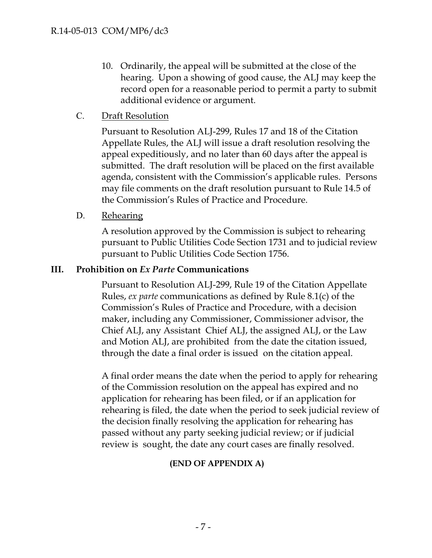- 10. Ordinarily, the appeal will be submitted at the close of the hearing. Upon a showing of good cause, the ALJ may keep the record open for a reasonable period to permit a party to submit additional evidence or argument.
- C. Draft Resolution

Pursuant to Resolution ALJ-299, Rules 17 and 18 of the Citation Appellate Rules, the ALJ will issue a draft resolution resolving the appeal expeditiously, and no later than 60 days after the appeal is submitted. The draft resolution will be placed on the first available agenda, consistent with the Commission's applicable rules. Persons may file comments on the draft resolution pursuant to Rule 14.5 of the Commission's Rules of Practice and Procedure.

D. Rehearing

A resolution approved by the Commission is subject to rehearing pursuant to Public Utilities Code Section 1731 and to judicial review pursuant to Public Utilities Code Section 1756.

### **III. Prohibition on** *Ex Parte* **Communications**

Pursuant to Resolution ALJ-299, Rule 19 of the Citation Appellate Rules, *ex parte* communications as defined by Rule 8.1(c) of the Commission's Rules of Practice and Procedure, with a decision maker, including any Commissioner, Commissioner advisor, the Chief ALJ, any Assistant Chief ALJ, the assigned ALJ, or the Law and Motion ALJ, are prohibited from the date the citation issued, through the date a final order is issued on the citation appeal.

A final order means the date when the period to apply for rehearing of the Commission resolution on the appeal has expired and no application for rehearing has been filed, or if an application for rehearing is filed, the date when the period to seek judicial review of the decision finally resolving the application for rehearing has passed without any party seeking judicial review; or if judicial review is sought, the date any court cases are finally resolved.

## **(END OF APPENDIX A)**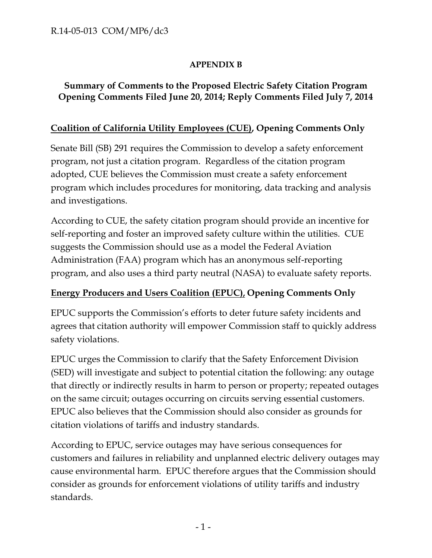## **APPENDIX B**

## **Summary of Comments to the Proposed Electric Safety Citation Program Opening Comments Filed June 20, 2014; Reply Comments Filed July 7, 2014**

## **Coalition of California Utility Employees (CUE), Opening Comments Only**

Senate Bill (SB) 291 requires the Commission to develop a safety enforcement program, not just a citation program. Regardless of the citation program adopted, CUE believes the Commission must create a safety enforcement program which includes procedures for monitoring, data tracking and analysis and investigations.

According to CUE, the safety citation program should provide an incentive for self-reporting and foster an improved safety culture within the utilities. CUE suggests the Commission should use as a model the Federal Aviation Administration (FAA) program which has an anonymous self-reporting program, and also uses a third party neutral (NASA) to evaluate safety reports.

## **Energy Producers and Users Coalition (EPUC), Opening Comments Only**

EPUC supports the Commission's efforts to deter future safety incidents and agrees that citation authority will empower Commission staff to quickly address safety violations.

EPUC urges the Commission to clarify that the Safety Enforcement Division (SED) will investigate and subject to potential citation the following: any outage that directly or indirectly results in harm to person or property; repeated outages on the same circuit; outages occurring on circuits serving essential customers. EPUC also believes that the Commission should also consider as grounds for citation violations of tariffs and industry standards.

According to EPUC, service outages may have serious consequences for customers and failures in reliability and unplanned electric delivery outages may cause environmental harm. EPUC therefore argues that the Commission should consider as grounds for enforcement violations of utility tariffs and industry standards.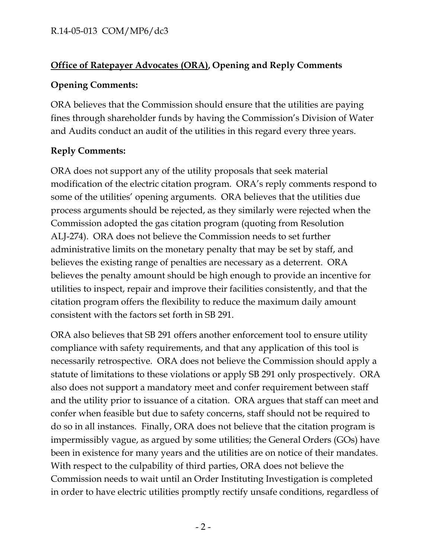# **Office of Ratepayer Advocates (ORA), Opening and Reply Comments**

## **Opening Comments:**

ORA believes that the Commission should ensure that the utilities are paying fines through shareholder funds by having the Commission's Division of Water and Audits conduct an audit of the utilities in this regard every three years.

# **Reply Comments:**

ORA does not support any of the utility proposals that seek material modification of the electric citation program. ORA's reply comments respond to some of the utilities' opening arguments. ORA believes that the utilities due process arguments should be rejected, as they similarly were rejected when the Commission adopted the gas citation program (quoting from Resolution ALJ-274). ORA does not believe the Commission needs to set further administrative limits on the monetary penalty that may be set by staff, and believes the existing range of penalties are necessary as a deterrent. ORA believes the penalty amount should be high enough to provide an incentive for utilities to inspect, repair and improve their facilities consistently, and that the citation program offers the flexibility to reduce the maximum daily amount consistent with the factors set forth in SB 291.

ORA also believes that SB 291 offers another enforcement tool to ensure utility compliance with safety requirements, and that any application of this tool is necessarily retrospective. ORA does not believe the Commission should apply a statute of limitations to these violations or apply SB 291 only prospectively. ORA also does not support a mandatory meet and confer requirement between staff and the utility prior to issuance of a citation. ORA argues that staff can meet and confer when feasible but due to safety concerns, staff should not be required to do so in all instances. Finally, ORA does not believe that the citation program is impermissibly vague, as argued by some utilities; the General Orders (GOs) have been in existence for many years and the utilities are on notice of their mandates. With respect to the culpability of third parties, ORA does not believe the Commission needs to wait until an Order Instituting Investigation is completed in order to have electric utilities promptly rectify unsafe conditions, regardless of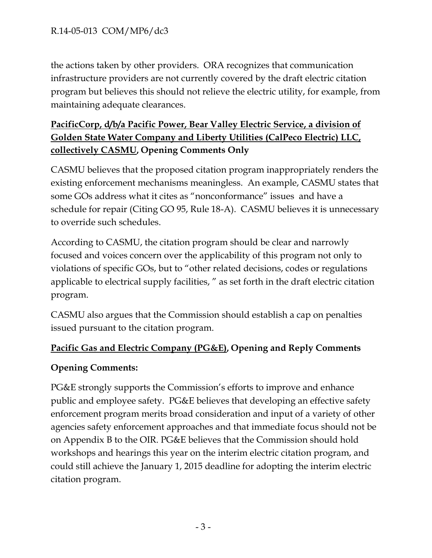the actions taken by other providers. ORA recognizes that communication infrastructure providers are not currently covered by the draft electric citation program but believes this should not relieve the electric utility, for example, from maintaining adequate clearances.

# **PacificCorp, d/b/a Pacific Power, Bear Valley Electric Service, a division of Golden State Water Company and Liberty Utilities (CalPeco Electric) LLC, collectively CASMU, Opening Comments Only**

CASMU believes that the proposed citation program inappropriately renders the existing enforcement mechanisms meaningless. An example, CASMU states that some GOs address what it cites as "nonconformance" issues and have a schedule for repair (Citing GO 95, Rule 18-A). CASMU believes it is unnecessary to override such schedules.

According to CASMU, the citation program should be clear and narrowly focused and voices concern over the applicability of this program not only to violations of specific GOs, but to "other related decisions, codes or regulations applicable to electrical supply facilities, " as set forth in the draft electric citation program.

CASMU also argues that the Commission should establish a cap on penalties issued pursuant to the citation program.

## **Pacific Gas and Electric Company (PG&E), Opening and Reply Comments**

## **Opening Comments:**

PG&E strongly supports the Commission's efforts to improve and enhance public and employee safety. PG&E believes that developing an effective safety enforcement program merits broad consideration and input of a variety of other agencies safety enforcement approaches and that immediate focus should not be on Appendix B to the OIR. PG&E believes that the Commission should hold workshops and hearings this year on the interim electric citation program, and could still achieve the January 1, 2015 deadline for adopting the interim electric citation program.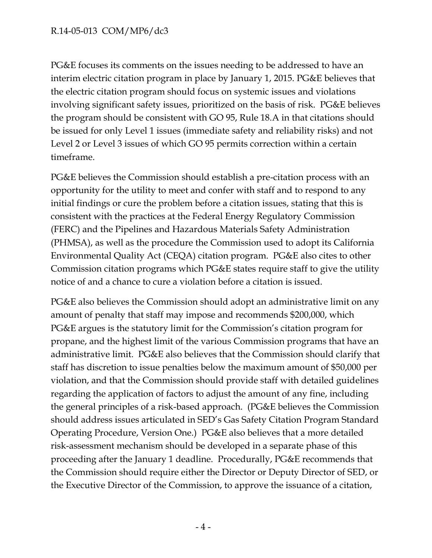PG&E focuses its comments on the issues needing to be addressed to have an interim electric citation program in place by January 1, 2015. PG&E believes that the electric citation program should focus on systemic issues and violations involving significant safety issues, prioritized on the basis of risk. PG&E believes the program should be consistent with GO 95, Rule 18.A in that citations should be issued for only Level 1 issues (immediate safety and reliability risks) and not Level 2 or Level 3 issues of which GO 95 permits correction within a certain timeframe.

PG&E believes the Commission should establish a pre-citation process with an opportunity for the utility to meet and confer with staff and to respond to any initial findings or cure the problem before a citation issues, stating that this is consistent with the practices at the Federal Energy Regulatory Commission (FERC) and the Pipelines and Hazardous Materials Safety Administration (PHMSA), as well as the procedure the Commission used to adopt its California Environmental Quality Act (CEQA) citation program. PG&E also cites to other Commission citation programs which PG&E states require staff to give the utility notice of and a chance to cure a violation before a citation is issued.

PG&E also believes the Commission should adopt an administrative limit on any amount of penalty that staff may impose and recommends \$200,000, which PG&E argues is the statutory limit for the Commission's citation program for propane, and the highest limit of the various Commission programs that have an administrative limit. PG&E also believes that the Commission should clarify that staff has discretion to issue penalties below the maximum amount of \$50,000 per violation, and that the Commission should provide staff with detailed guidelines regarding the application of factors to adjust the amount of any fine, including the general principles of a risk-based approach. (PG&E believes the Commission should address issues articulated in SED's Gas Safety Citation Program Standard Operating Procedure, Version One.) PG&E also believes that a more detailed risk-assessment mechanism should be developed in a separate phase of this proceeding after the January 1 deadline. Procedurally, PG&E recommends that the Commission should require either the Director or Deputy Director of SED, or the Executive Director of the Commission, to approve the issuance of a citation,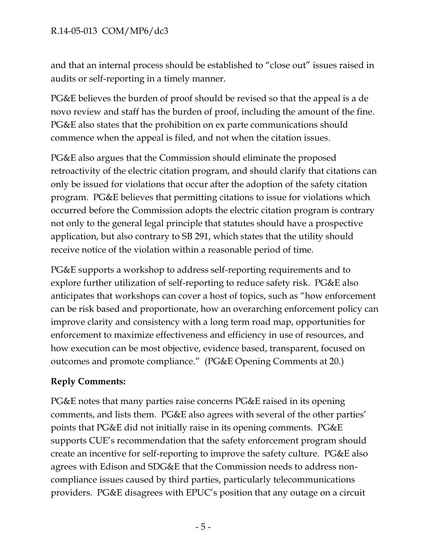and that an internal process should be established to "close out" issues raised in audits or self-reporting in a timely manner.

PG&E believes the burden of proof should be revised so that the appeal is a de novo review and staff has the burden of proof, including the amount of the fine. PG&E also states that the prohibition on ex parte communications should commence when the appeal is filed, and not when the citation issues.

PG&E also argues that the Commission should eliminate the proposed retroactivity of the electric citation program, and should clarify that citations can only be issued for violations that occur after the adoption of the safety citation program. PG&E believes that permitting citations to issue for violations which occurred before the Commission adopts the electric citation program is contrary not only to the general legal principle that statutes should have a prospective application, but also contrary to SB 291, which states that the utility should receive notice of the violation within a reasonable period of time.

PG&E supports a workshop to address self-reporting requirements and to explore further utilization of self-reporting to reduce safety risk. PG&E also anticipates that workshops can cover a host of topics, such as "how enforcement can be risk based and proportionate, how an overarching enforcement policy can improve clarity and consistency with a long term road map, opportunities for enforcement to maximize effectiveness and efficiency in use of resources, and how execution can be most objective, evidence based, transparent, focused on outcomes and promote compliance." (PG&E Opening Comments at 20.)

# **Reply Comments:**

PG&E notes that many parties raise concerns PG&E raised in its opening comments, and lists them. PG&E also agrees with several of the other parties' points that PG&E did not initially raise in its opening comments. PG&E supports CUE's recommendation that the safety enforcement program should create an incentive for self-reporting to improve the safety culture. PG&E also agrees with Edison and SDG&E that the Commission needs to address noncompliance issues caused by third parties, particularly telecommunications providers. PG&E disagrees with EPUC's position that any outage on a circuit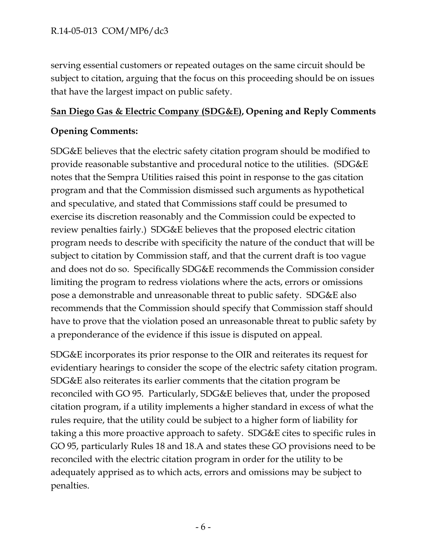serving essential customers or repeated outages on the same circuit should be subject to citation, arguing that the focus on this proceeding should be on issues that have the largest impact on public safety.

## **San Diego Gas & Electric Company (SDG&E), Opening and Reply Comments**

## **Opening Comments:**

SDG&E believes that the electric safety citation program should be modified to provide reasonable substantive and procedural notice to the utilities. (SDG&E notes that the Sempra Utilities raised this point in response to the gas citation program and that the Commission dismissed such arguments as hypothetical and speculative, and stated that Commissions staff could be presumed to exercise its discretion reasonably and the Commission could be expected to review penalties fairly.) SDG&E believes that the proposed electric citation program needs to describe with specificity the nature of the conduct that will be subject to citation by Commission staff, and that the current draft is too vague and does not do so. Specifically SDG&E recommends the Commission consider limiting the program to redress violations where the acts, errors or omissions pose a demonstrable and unreasonable threat to public safety. SDG&E also recommends that the Commission should specify that Commission staff should have to prove that the violation posed an unreasonable threat to public safety by a preponderance of the evidence if this issue is disputed on appeal.

SDG&E incorporates its prior response to the OIR and reiterates its request for evidentiary hearings to consider the scope of the electric safety citation program. SDG&E also reiterates its earlier comments that the citation program be reconciled with GO 95. Particularly, SDG&E believes that, under the proposed citation program, if a utility implements a higher standard in excess of what the rules require, that the utility could be subject to a higher form of liability for taking a this more proactive approach to safety. SDG&E cites to specific rules in GO 95, particularly Rules 18 and 18.A and states these GO provisions need to be reconciled with the electric citation program in order for the utility to be adequately apprised as to which acts, errors and omissions may be subject to penalties.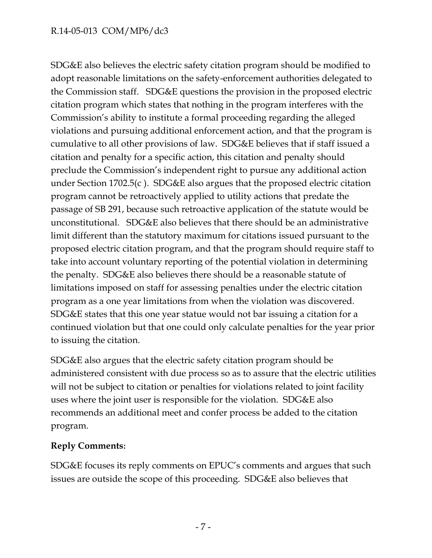SDG&E also believes the electric safety citation program should be modified to adopt reasonable limitations on the safety-enforcement authorities delegated to the Commission staff. SDG&E questions the provision in the proposed electric citation program which states that nothing in the program interferes with the Commission's ability to institute a formal proceeding regarding the alleged violations and pursuing additional enforcement action, and that the program is cumulative to all other provisions of law. SDG&E believes that if staff issued a citation and penalty for a specific action, this citation and penalty should preclude the Commission's independent right to pursue any additional action under Section 1702.5(c ). SDG&E also argues that the proposed electric citation program cannot be retroactively applied to utility actions that predate the passage of SB 291, because such retroactive application of the statute would be unconstitutional. SDG&E also believes that there should be an administrative limit different than the statutory maximum for citations issued pursuant to the proposed electric citation program, and that the program should require staff to take into account voluntary reporting of the potential violation in determining the penalty. SDG&E also believes there should be a reasonable statute of limitations imposed on staff for assessing penalties under the electric citation program as a one year limitations from when the violation was discovered. SDG&E states that this one year statue would not bar issuing a citation for a continued violation but that one could only calculate penalties for the year prior to issuing the citation.

SDG&E also argues that the electric safety citation program should be administered consistent with due process so as to assure that the electric utilities will not be subject to citation or penalties for violations related to joint facility uses where the joint user is responsible for the violation. SDG&E also recommends an additional meet and confer process be added to the citation program.

## **Reply Comments:**

SDG&E focuses its reply comments on EPUC's comments and argues that such issues are outside the scope of this proceeding. SDG&E also believes that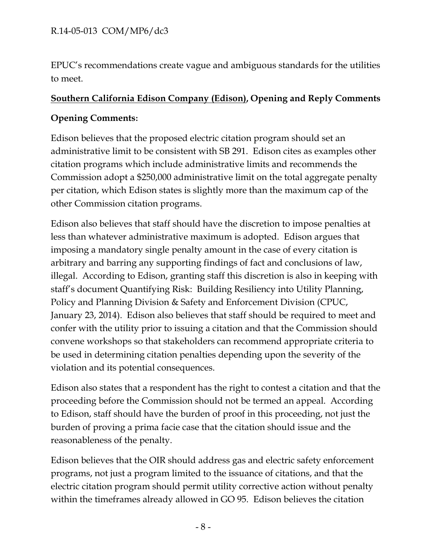EPUC's recommendations create vague and ambiguous standards for the utilities to meet.

### **Southern California Edison Company (Edison), Opening and Reply Comments**

### **Opening Comments:**

Edison believes that the proposed electric citation program should set an administrative limit to be consistent with SB 291. Edison cites as examples other citation programs which include administrative limits and recommends the Commission adopt a \$250,000 administrative limit on the total aggregate penalty per citation, which Edison states is slightly more than the maximum cap of the other Commission citation programs.

Edison also believes that staff should have the discretion to impose penalties at less than whatever administrative maximum is adopted. Edison argues that imposing a mandatory single penalty amount in the case of every citation is arbitrary and barring any supporting findings of fact and conclusions of law, illegal. According to Edison, granting staff this discretion is also in keeping with staff's document Quantifying Risk: Building Resiliency into Utility Planning, Policy and Planning Division & Safety and Enforcement Division (CPUC, January 23, 2014). Edison also believes that staff should be required to meet and confer with the utility prior to issuing a citation and that the Commission should convene workshops so that stakeholders can recommend appropriate criteria to be used in determining citation penalties depending upon the severity of the violation and its potential consequences.

Edison also states that a respondent has the right to contest a citation and that the proceeding before the Commission should not be termed an appeal. According to Edison, staff should have the burden of proof in this proceeding, not just the burden of proving a prima facie case that the citation should issue and the reasonableness of the penalty.

Edison believes that the OIR should address gas and electric safety enforcement programs, not just a program limited to the issuance of citations, and that the electric citation program should permit utility corrective action without penalty within the timeframes already allowed in GO 95. Edison believes the citation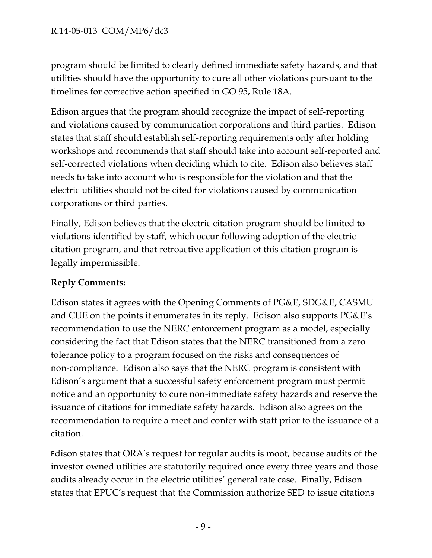program should be limited to clearly defined immediate safety hazards, and that utilities should have the opportunity to cure all other violations pursuant to the timelines for corrective action specified in GO 95, Rule 18A.

Edison argues that the program should recognize the impact of self-reporting and violations caused by communication corporations and third parties. Edison states that staff should establish self-reporting requirements only after holding workshops and recommends that staff should take into account self-reported and self-corrected violations when deciding which to cite. Edison also believes staff needs to take into account who is responsible for the violation and that the electric utilities should not be cited for violations caused by communication corporations or third parties.

Finally, Edison believes that the electric citation program should be limited to violations identified by staff, which occur following adoption of the electric citation program, and that retroactive application of this citation program is legally impermissible.

## **Reply Comments:**

Edison states it agrees with the Opening Comments of PG&E, SDG&E, CASMU and CUE on the points it enumerates in its reply. Edison also supports PG&E's recommendation to use the NERC enforcement program as a model, especially considering the fact that Edison states that the NERC transitioned from a zero tolerance policy to a program focused on the risks and consequences of non-compliance. Edison also says that the NERC program is consistent with Edison's argument that a successful safety enforcement program must permit notice and an opportunity to cure non-immediate safety hazards and reserve the issuance of citations for immediate safety hazards. Edison also agrees on the recommendation to require a meet and confer with staff prior to the issuance of a citation.

Edison states that ORA's request for regular audits is moot, because audits of the investor owned utilities are statutorily required once every three years and those audits already occur in the electric utilities' general rate case. Finally, Edison states that EPUC's request that the Commission authorize SED to issue citations